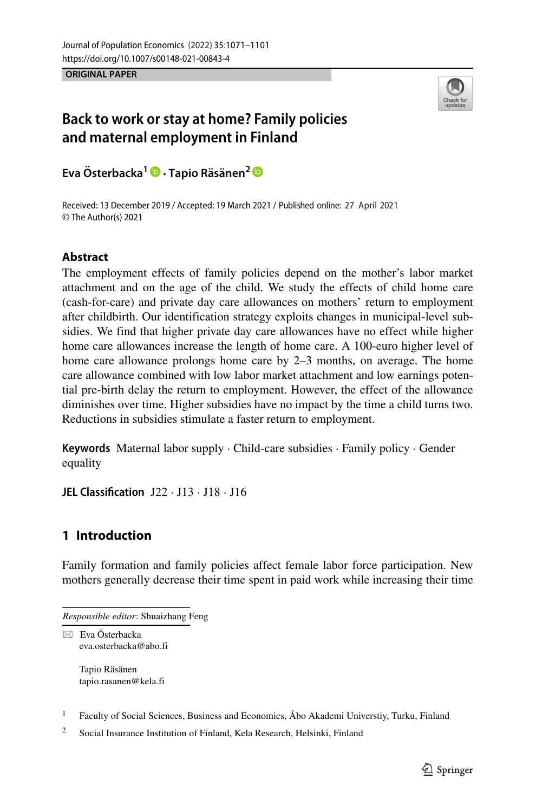**ORIGINAL PAPER**



# **Back to work or stay at home? Family policies and maternal employment in Finland**

**Eva** Österbacka<sup>1</sup> **D** · Tapio Räsänen<sup>2</sup> **D** 

Received: 13 December 2019 / Accepted: 19 March 2021 / Published online: 27 April 2021 © The Author(s) 2021

# **Abstract**

The employment effects of family policies depend on the mother's labor market attachment and on the age of the child. We study the effects of child home care (cash-for-care) and private day care allowances on mothers' return to employment after childbirth. Our identification strategy exploits changes in municipal-level subsidies. We find that higher private day care allowances have no effect while higher home care allowances increase the length of home care. A 100-euro higher level of home care allowance prolongs home care by 2–3 months, on average. The home care allowance combined with low labor market attachment and low earnings potential pre-birth delay the return to employment. However, the effect of the allowance diminishes over time. Higher subsidies have no impact by the time a child turns two. Reductions in subsidies stimulate a faster return to employment.

**Keywords** Maternal labor supply · Child-care subsidies · Family policy · Gender equality

**JEL Classification** J22 · J13 · J18 · J16

# **1 Introduction**

Family formation and family policies affect female labor force participation. New mothers generally decrease their time spent in paid work while increasing their time

Tapio Räsänen [tapio.rasanen@kela.fi](mailto: tapio.rasanen@kela.fi)

<sup>1</sup> Faculty of Social Sciences, Business and Economics,  $\AA$ bo Akademi Universtiy, Turku, Finland

<sup>2</sup> Social Insurance Institution of Finland, Kela Research, Helsinki, Finland

*Responsible editor*: Shuaizhang Feng

<sup>-</sup> Eva Osterbacka ¨ [eva.osterbacka@abo.fi](mailto: eva.osterbacka@abo.fi)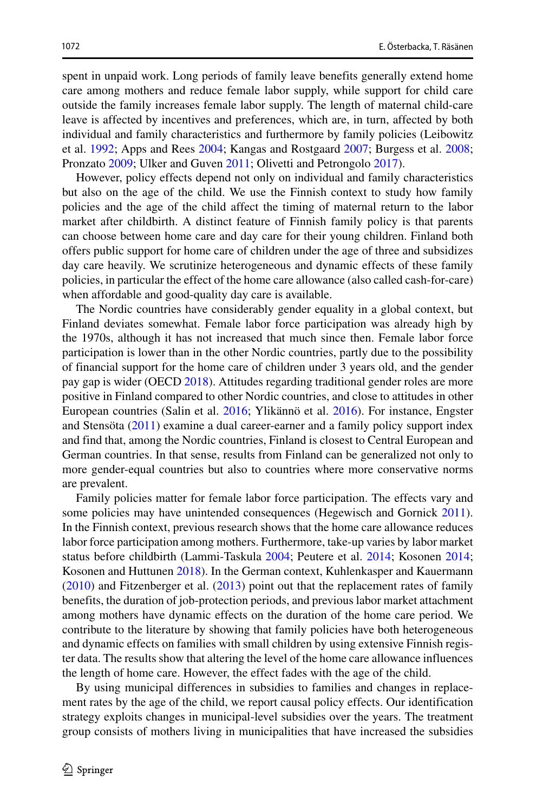spent in unpaid work. Long periods of family leave benefits generally extend home care among mothers and reduce female labor supply, while support for child care outside the family increases female labor supply. The length of maternal child-care leave is affected by incentives and preferences, which are, in turn, affected by both individual and family characteristics and furthermore by family policies (Leibowitz et al. [1992;](#page-29-0) Apps and Rees [2004;](#page-28-0) Kangas and Rostgaard [2007;](#page-29-1) Burgess et al. [2008;](#page-28-1) Pronzato [2009;](#page-29-2) Ulker and Guven [2011;](#page-29-3) Olivetti and Petrongolo [2017\)](#page-29-4).

However, policy effects depend not only on individual and family characteristics but also on the age of the child. We use the Finnish context to study how family policies and the age of the child affect the timing of maternal return to the labor market after childbirth. A distinct feature of Finnish family policy is that parents can choose between home care and day care for their young children. Finland both offers public support for home care of children under the age of three and subsidizes day care heavily. We scrutinize heterogeneous and dynamic effects of these family policies, in particular the effect of the home care allowance (also called cash-for-care) when affordable and good-quality day care is available.

The Nordic countries have considerably gender equality in a global context, but Finland deviates somewhat. Female labor force participation was already high by the 1970s, although it has not increased that much since then. Female labor force participation is lower than in the other Nordic countries, partly due to the possibility of financial support for the home care of children under 3 years old, and the gender pay gap is wider (OECD [2018\)](#page-29-5). Attitudes regarding traditional gender roles are more positive in Finland compared to other Nordic countries, and close to attitudes in other European countries (Salin et al. [2016;](#page-29-6) Ylikännö et al. [2016\)](#page-30-0). For instance, Engster and Stensota  $(2011)$  $(2011)$  examine a dual career-earner and a family policy support index and find that, among the Nordic countries, Finland is closest to Central European and German countries. In that sense, results from Finland can be generalized not only to more gender-equal countries but also to countries where more conservative norms are prevalent.

Family policies matter for female labor force participation. The effects vary and some policies may have unintended consequences (Hegewisch and Gornick [2011\)](#page-29-7). In the Finnish context, previous research shows that the home care allowance reduces labor force participation among mothers. Furthermore, take-up varies by labor market status before childbirth (Lammi-Taskula [2004;](#page-29-8) Peutere et al. [2014;](#page-29-9) Kosonen [2014;](#page-29-10) Kosonen and Huttunen [2018\)](#page-29-11). In the German context, Kuhlenkasper and Kauermann [\(2010\)](#page-29-12) and Fitzenberger et al. [\(2013\)](#page-28-3) point out that the replacement rates of family benefits, the duration of job-protection periods, and previous labor market attachment among mothers have dynamic effects on the duration of the home care period. We contribute to the literature by showing that family policies have both heterogeneous and dynamic effects on families with small children by using extensive Finnish register data. The results show that altering the level of the home care allowance influences the length of home care. However, the effect fades with the age of the child.

By using municipal differences in subsidies to families and changes in replacement rates by the age of the child, we report causal policy effects. Our identification strategy exploits changes in municipal-level subsidies over the years. The treatment group consists of mothers living in municipalities that have increased the subsidies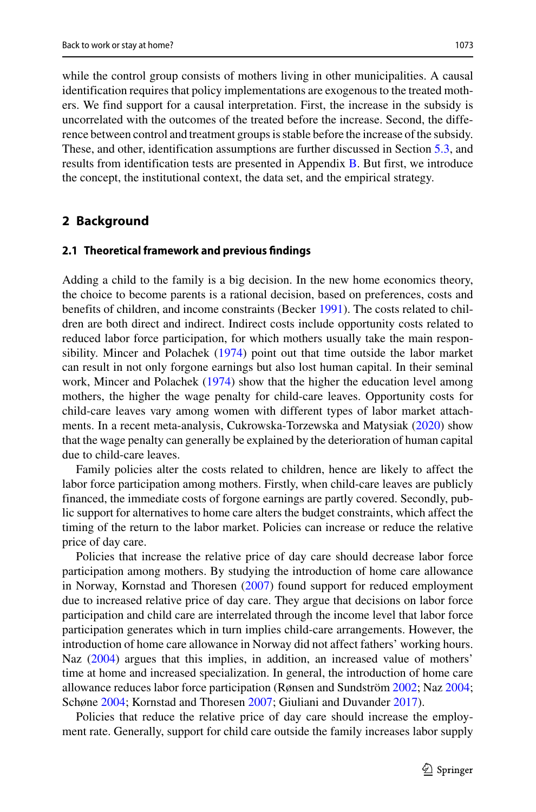while the control group consists of mothers living in other municipalities. A causal identification requires that policy implementations are exogenous to the treated mothers. We find support for a causal interpretation. First, the increase in the subsidy is uncorrelated with the outcomes of the treated before the increase. Second, the difference between control and treatment groups is stable before the increase of the subsidy. These, and other, identification assumptions are further discussed in Section [5.3,](#page-16-0) and results from identification tests are presented in Appendix [B.](#page-23-0) But first, we introduce the concept, the institutional context, the data set, and the empirical strategy.

## **2 Background**

#### **2.1 Theoretical framework and previous findings**

Adding a child to the family is a big decision. In the new home economics theory, the choice to become parents is a rational decision, based on preferences, costs and benefits of children, and income constraints (Becker [1991\)](#page-28-4). The costs related to children are both direct and indirect. Indirect costs include opportunity costs related to reduced labor force participation, for which mothers usually take the main responsibility. Mincer and Polachek [\(1974\)](#page-29-13) point out that time outside the labor market can result in not only forgone earnings but also lost human capital. In their seminal work, Mincer and Polachek [\(1974\)](#page-29-13) show that the higher the education level among mothers, the higher the wage penalty for child-care leaves. Opportunity costs for child-care leaves vary among women with different types of labor market attachments. In a recent meta-analysis, Cukrowska-Torzewska and Matysiak [\(2020\)](#page-28-5) show that the wage penalty can generally be explained by the deterioration of human capital due to child-care leaves.

Family policies alter the costs related to children, hence are likely to affect the labor force participation among mothers. Firstly, when child-care leaves are publicly financed, the immediate costs of forgone earnings are partly covered. Secondly, public support for alternatives to home care alters the budget constraints, which affect the timing of the return to the labor market. Policies can increase or reduce the relative price of day care.

Policies that increase the relative price of day care should decrease labor force participation among mothers. By studying the introduction of home care allowance in Norway, Kornstad and Thoresen [\(2007\)](#page-29-14) found support for reduced employment due to increased relative price of day care. They argue that decisions on labor force participation and child care are interrelated through the income level that labor force participation generates which in turn implies child-care arrangements. However, the introduction of home care allowance in Norway did not affect fathers' working hours. Naz [\(2004\)](#page-29-15) argues that this implies, in addition, an increased value of mothers' time at home and increased specialization. In general, the introduction of home care allowance reduces labor force participation (Rønsen and Sundström [2002;](#page-29-16) Naz [2004;](#page-29-15) Schøne [2004;](#page-29-17) Kornstad and Thoresen [2007;](#page-29-14) Giuliani and Duvander [2017\)](#page-28-6).

Policies that reduce the relative price of day care should increase the employment rate. Generally, support for child care outside the family increases labor supply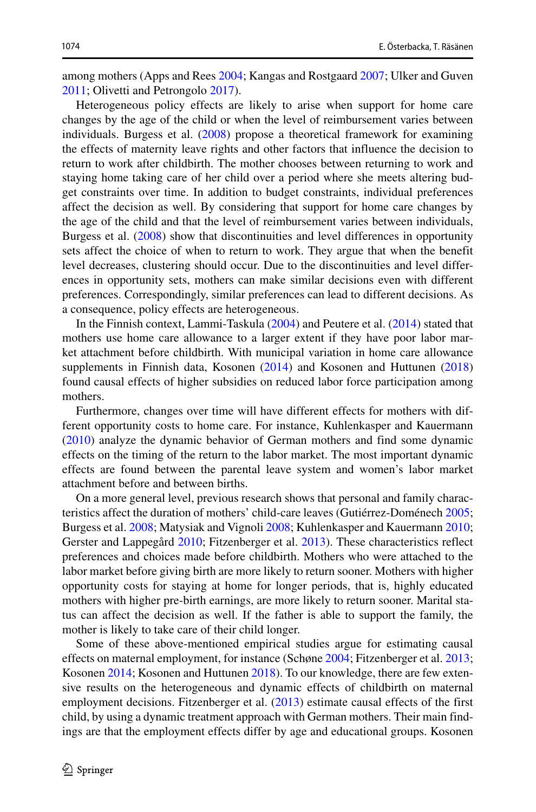among mothers (Apps and Rees [2004;](#page-28-0) Kangas and Rostgaard [2007;](#page-29-1) Ulker and Guven [2011;](#page-29-3) Olivetti and Petrongolo [2017\)](#page-29-4).

Heterogeneous policy effects are likely to arise when support for home care changes by the age of the child or when the level of reimbursement varies between individuals. Burgess et al. [\(2008\)](#page-28-1) propose a theoretical framework for examining the effects of maternity leave rights and other factors that influence the decision to return to work after childbirth. The mother chooses between returning to work and staying home taking care of her child over a period where she meets altering budget constraints over time. In addition to budget constraints, individual preferences affect the decision as well. By considering that support for home care changes by the age of the child and that the level of reimbursement varies between individuals, Burgess et al. [\(2008\)](#page-28-1) show that discontinuities and level differences in opportunity sets affect the choice of when to return to work. They argue that when the benefit level decreases, clustering should occur. Due to the discontinuities and level differences in opportunity sets, mothers can make similar decisions even with different preferences. Correspondingly, similar preferences can lead to different decisions. As a consequence, policy effects are heterogeneous.

In the Finnish context, Lammi-Taskula [\(2004\)](#page-29-8) and Peutere et al. [\(2014\)](#page-29-9) stated that mothers use home care allowance to a larger extent if they have poor labor market attachment before childbirth. With municipal variation in home care allowance supplements in Finnish data, Kosonen [\(2014\)](#page-29-10) and Kosonen and Huttunen [\(2018\)](#page-29-11) found causal effects of higher subsidies on reduced labor force participation among mothers.

Furthermore, changes over time will have different effects for mothers with different opportunity costs to home care. For instance, Kuhlenkasper and Kauermann [\(2010\)](#page-29-12) analyze the dynamic behavior of German mothers and find some dynamic effects on the timing of the return to the labor market. The most important dynamic effects are found between the parental leave system and women's labor market attachment before and between births.

On a more general level, previous research shows that personal and family charac-teristics affect the duration of mothers' child-care leaves (Gutiérrez-Doménech [2005;](#page-28-7) Burgess et al. [2008;](#page-28-1) Matysiak and Vignoli [2008;](#page-29-18) Kuhlenkasper and Kauermann [2010;](#page-29-12) Gerster and Lappegård [2010;](#page-28-8) Fitzenberger et al. [2013\)](#page-28-3). These characteristics reflect preferences and choices made before childbirth. Mothers who were attached to the labor market before giving birth are more likely to return sooner. Mothers with higher opportunity costs for staying at home for longer periods, that is, highly educated mothers with higher pre-birth earnings, are more likely to return sooner. Marital status can affect the decision as well. If the father is able to support the family, the mother is likely to take care of their child longer.

Some of these above-mentioned empirical studies argue for estimating causal effects on maternal employment, for instance (Schøne [2004;](#page-29-17) Fitzenberger et al. [2013;](#page-28-3) Kosonen [2014;](#page-29-10) Kosonen and Huttunen [2018\)](#page-29-11). To our knowledge, there are few extensive results on the heterogeneous and dynamic effects of childbirth on maternal employment decisions. Fitzenberger et al. [\(2013\)](#page-28-3) estimate causal effects of the first child, by using a dynamic treatment approach with German mothers. Their main findings are that the employment effects differ by age and educational groups. Kosonen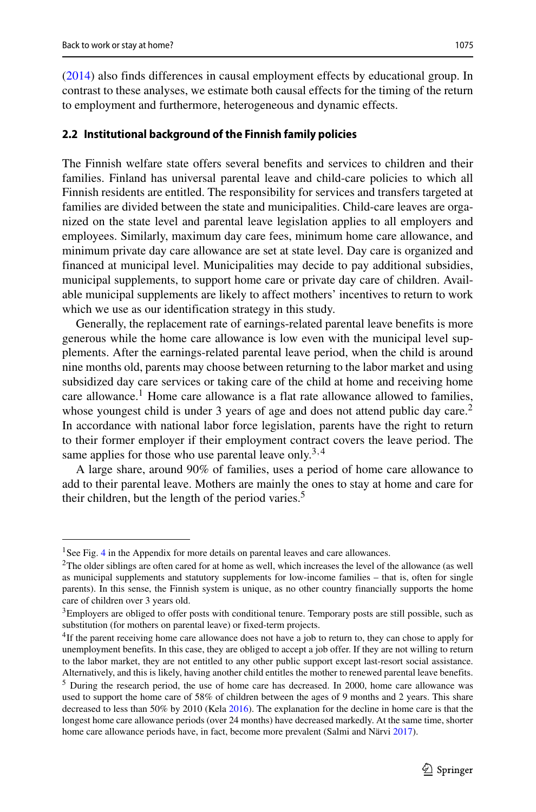[\(2014\)](#page-29-10) also finds differences in causal employment effects by educational group. In contrast to these analyses, we estimate both causal effects for the timing of the return to employment and furthermore, heterogeneous and dynamic effects.

### **2.2 Institutional background of the Finnish family policies**

The Finnish welfare state offers several benefits and services to children and their families. Finland has universal parental leave and child-care policies to which all Finnish residents are entitled. The responsibility for services and transfers targeted at families are divided between the state and municipalities. Child-care leaves are organized on the state level and parental leave legislation applies to all employers and employees. Similarly, maximum day care fees, minimum home care allowance, and minimum private day care allowance are set at state level. Day care is organized and financed at municipal level. Municipalities may decide to pay additional subsidies, municipal supplements, to support home care or private day care of children. Available municipal supplements are likely to affect mothers' incentives to return to work which we use as our identification strategy in this study.

Generally, the replacement rate of earnings-related parental leave benefits is more generous while the home care allowance is low even with the municipal level supplements. After the earnings-related parental leave period, when the child is around nine months old, parents may choose between returning to the labor market and using subsidized day care services or taking care of the child at home and receiving home care allowance.<sup>[1](#page-4-0)</sup> Home care allowance is a flat rate allowance allowed to families, whose youngest child is under 3 years of age and does not attend public day care.<sup>[2](#page-4-1)</sup> In accordance with national labor force legislation, parents have the right to return to their former employer if their employment contract covers the leave period. The same applies for those who use parental leave only.[3](#page-4-2)*,*[4](#page-4-3)

A large share, around 90% of families, uses a period of home care allowance to add to their parental leave. Mothers are mainly the ones to stay at home and care for their children, but the length of the period varies.<sup>5</sup>

<sup>&</sup>lt;sup>1</sup>See Fig. [4](#page-20-0) in the Appendix for more details on parental leaves and care allowances.

<span id="page-4-1"></span><span id="page-4-0"></span><sup>&</sup>lt;sup>2</sup>The older siblings are often cared for at home as well, which increases the level of the allowance (as well as municipal supplements and statutory supplements for low-income families – that is, often for single parents). In this sense, the Finnish system is unique, as no other country financially supports the home care of children over 3 years old.

<span id="page-4-2"></span><sup>&</sup>lt;sup>3</sup>Employers are obliged to offer posts with conditional tenure. Temporary posts are still possible, such as substitution (for mothers on parental leave) or fixed-term projects.

<span id="page-4-3"></span><sup>4</sup>If the parent receiving home care allowance does not have a job to return to, they can chose to apply for unemployment benefits. In this case, they are obliged to accept a job offer. If they are not willing to return to the labor market, they are not entitled to any other public support except last-resort social assistance. Alternatively, and this is likely, having another child entitles the mother to renewed parental leave benefits.

<span id="page-4-4"></span><sup>5</sup> During the research period, the use of home care has decreased. In 2000, home care allowance was used to support the home care of 58% of children between the ages of 9 months and 2 years. This share decreased to less than 50% by 2010 (Kela [2016\)](#page-29-19). The explanation for the decline in home care is that the longest home care allowance periods (over 24 months) have decreased markedly. At the same time, shorter home care allowance periods have, in fact, become more prevalent (Salmi and Närvi [2017\)](#page-29-20).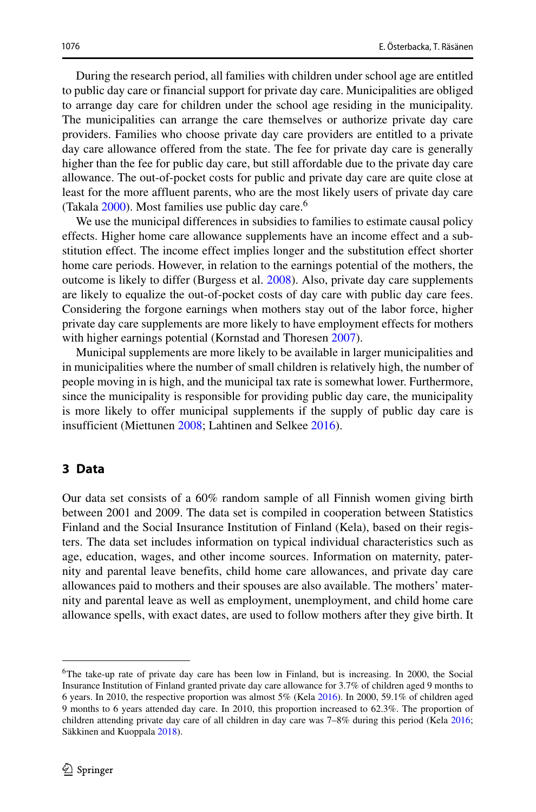During the research period, all families with children under school age are entitled to public day care or financial support for private day care. Municipalities are obliged to arrange day care for children under the school age residing in the municipality. The municipalities can arrange the care themselves or authorize private day care providers. Families who choose private day care providers are entitled to a private day care allowance offered from the state. The fee for private day care is generally higher than the fee for public day care, but still affordable due to the private day care allowance. The out-of-pocket costs for public and private day care are quite close at least for the more affluent parents, who are the most likely users of private day care (Takala [2000\)](#page-29-21). Most families use public day care.<sup>[6](#page-5-0)</sup>

We use the municipal differences in subsidies to families to estimate causal policy effects. Higher home care allowance supplements have an income effect and a substitution effect. The income effect implies longer and the substitution effect shorter home care periods. However, in relation to the earnings potential of the mothers, the outcome is likely to differ (Burgess et al. [2008\)](#page-28-1). Also, private day care supplements are likely to equalize the out-of-pocket costs of day care with public day care fees. Considering the forgone earnings when mothers stay out of the labor force, higher private day care supplements are more likely to have employment effects for mothers with higher earnings potential (Kornstad and Thoresen [2007\)](#page-29-14).

Municipal supplements are more likely to be available in larger municipalities and in municipalities where the number of small children is relatively high, the number of people moving in is high, and the municipal tax rate is somewhat lower. Furthermore, since the municipality is responsible for providing public day care, the municipality is more likely to offer municipal supplements if the supply of public day care is insufficient (Miettunen [2008;](#page-29-22) Lahtinen and Selkee [2016\)](#page-29-23).

### **3 Data**

Our data set consists of a 60% random sample of all Finnish women giving birth between 2001 and 2009. The data set is compiled in cooperation between Statistics Finland and the Social Insurance Institution of Finland (Kela), based on their registers. The data set includes information on typical individual characteristics such as age, education, wages, and other income sources. Information on maternity, paternity and parental leave benefits, child home care allowances, and private day care allowances paid to mothers and their spouses are also available. The mothers' maternity and parental leave as well as employment, unemployment, and child home care allowance spells, with exact dates, are used to follow mothers after they give birth. It

<span id="page-5-0"></span><sup>&</sup>lt;sup>6</sup>The take-up rate of private day care has been low in Finland, but is increasing. In 2000, the Social Insurance Institution of Finland granted private day care allowance for 3.7% of children aged 9 months to 6 years. In 2010, the respective proportion was almost 5% (Kela [2016\)](#page-29-19). In 2000, 59.1% of children aged 9 months to 6 years attended day care. In 2010, this proportion increased to 62.3%. The proportion of children attending private day care of all children in day care was 7–8% during this period (Kela [2016;](#page-29-19) Säkkinen and Kuoppala [2018\)](#page-29-24).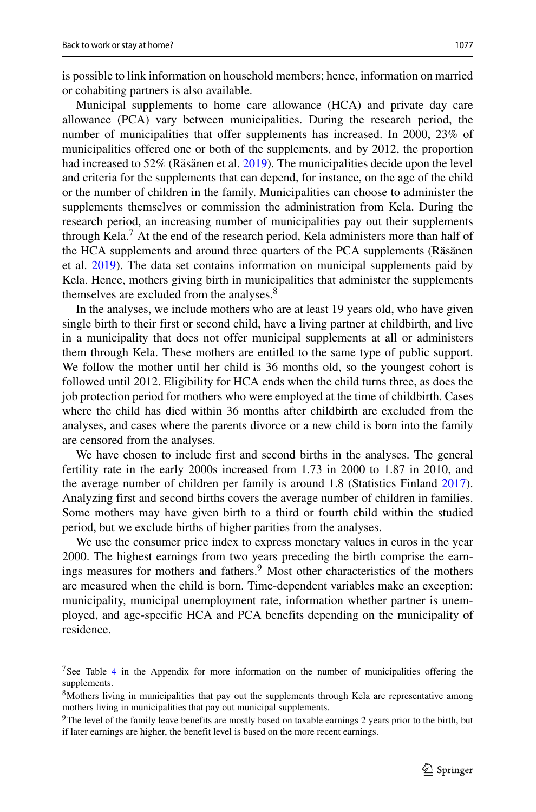is possible to link information on household members; hence, information on married or cohabiting partners is also available.

Municipal supplements to home care allowance (HCA) and private day care allowance (PCA) vary between municipalities. During the research period, the number of municipalities that offer supplements has increased. In 2000, 23% of municipalities offered one or both of the supplements, and by 2012, the proportion had increased to  $52\%$  (Räsänen et al.  $2019$ ). The municipalities decide upon the level and criteria for the supplements that can depend, for instance, on the age of the child or the number of children in the family. Municipalities can choose to administer the supplements themselves or commission the administration from Kela. During the research period, an increasing number of municipalities pay out their supplements through Kela.<sup>[7](#page-6-0)</sup> At the end of the research period, Kela administers more than half of the HCA supplements and around three quarters of the PCA supplements (Räsänen et al. [2019\)](#page-29-25). The data set contains information on municipal supplements paid by Kela. Hence, mothers giving birth in municipalities that administer the supplements themselves are excluded from the analyses.<sup>[8](#page-6-1)</sup>

In the analyses, we include mothers who are at least 19 years old, who have given single birth to their first or second child, have a living partner at childbirth, and live in a municipality that does not offer municipal supplements at all or administers them through Kela. These mothers are entitled to the same type of public support. We follow the mother until her child is 36 months old, so the youngest cohort is followed until 2012. Eligibility for HCA ends when the child turns three, as does the job protection period for mothers who were employed at the time of childbirth. Cases where the child has died within 36 months after childbirth are excluded from the analyses, and cases where the parents divorce or a new child is born into the family are censored from the analyses.

We have chosen to include first and second births in the analyses. The general fertility rate in the early 2000s increased from 1.73 in 2000 to 1.87 in 2010, and the average number of children per family is around 1.8 (Statistics Finland [2017\)](#page-29-26). Analyzing first and second births covers the average number of children in families. Some mothers may have given birth to a third or fourth child within the studied period, but we exclude births of higher parities from the analyses.

We use the consumer price index to express monetary values in euros in the year 2000. The highest earnings from two years preceding the birth comprise the earn-ings measures for mothers and fathers.<sup>[9](#page-6-2)</sup> Most other characteristics of the mothers are measured when the child is born. Time-dependent variables make an exception: municipality, municipal unemployment rate, information whether partner is unemployed, and age-specific HCA and PCA benefits depending on the municipality of residence.

<span id="page-6-0"></span><sup>&</sup>lt;sup>7</sup>See Table [4](#page-20-1) in the Appendix for more information on the number of municipalities offering the supplements.

<span id="page-6-1"></span><sup>&</sup>lt;sup>8</sup>Mothers living in municipalities that pay out the supplements through Kela are representative among mothers living in municipalities that pay out municipal supplements.

<span id="page-6-2"></span><sup>&</sup>lt;sup>9</sup>The level of the family leave benefits are mostly based on taxable earnings 2 years prior to the birth, but if later earnings are higher, the benefit level is based on the more recent earnings.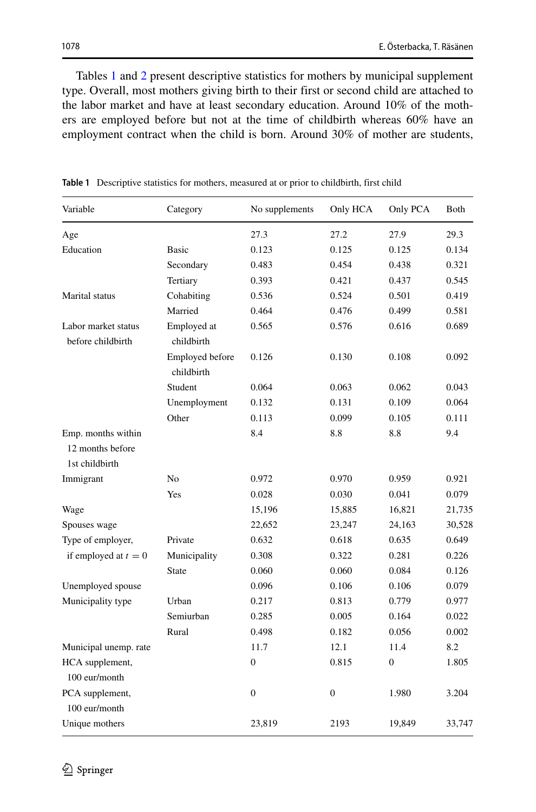Tables [1](#page-7-0) and [2](#page-8-0) present descriptive statistics for mothers by municipal supplement type. Overall, most mothers giving birth to their first or second child are attached to the labor market and have at least secondary education. Around 10% of the mothers are employed before but not at the time of childbirth whereas 60% have an employment contract when the child is born. Around 30% of mother are students,

| Variable                                                 | Category                      | No supplements   | Only HCA         | Only PCA         | Both   |
|----------------------------------------------------------|-------------------------------|------------------|------------------|------------------|--------|
| Age                                                      |                               | 27.3             | 27.2             | 27.9             | 29.3   |
| Education                                                | <b>Basic</b>                  | 0.123            | 0.125            | 0.125            | 0.134  |
|                                                          | Secondary                     | 0.483            | 0.454            | 0.438            | 0.321  |
|                                                          | Tertiary                      | 0.393            | 0.421            | 0.437            | 0.545  |
| Marital status                                           | Cohabiting                    | 0.536            | 0.524            | 0.501            | 0.419  |
|                                                          | Married                       | 0.464            | 0.476            | 0.499            | 0.581  |
| Labor market status<br>before childbirth                 | Employed at<br>childbirth     | 0.565            | 0.576            | 0.616            | 0.689  |
|                                                          | Employed before<br>childbirth | 0.126            | 0.130            | 0.108            | 0.092  |
|                                                          | Student                       | 0.064            | 0.063            | 0.062            | 0.043  |
|                                                          | Unemployment                  | 0.132            | 0.131            | 0.109            | 0.064  |
|                                                          | Other                         | 0.113            | 0.099            | 0.105            | 0.111  |
| Emp. months within<br>12 months before<br>1st childbirth |                               | 8.4              | 8.8              | 8.8              | 9.4    |
| Immigrant                                                | N <sub>0</sub>                | 0.972            | 0.970            | 0.959            | 0.921  |
|                                                          | Yes                           | 0.028            | 0.030            | 0.041            | 0.079  |
| Wage                                                     |                               | 15,196           | 15,885           | 16,821           | 21,735 |
| Spouses wage                                             |                               | 22,652           | 23,247           | 24,163           | 30,528 |
| Type of employer,                                        | Private                       | 0.632            | 0.618            | 0.635            | 0.649  |
| if employed at $t = 0$                                   | Municipality                  | 0.308            | 0.322            | 0.281            | 0.226  |
|                                                          | <b>State</b>                  | 0.060            | 0.060            | 0.084            | 0.126  |
| Unemployed spouse                                        |                               | 0.096            | 0.106            | 0.106            | 0.079  |
| Municipality type                                        | Urban                         | 0.217            | 0.813            | 0.779            | 0.977  |
|                                                          | Semiurban                     | 0.285            | 0.005            | 0.164            | 0.022  |
|                                                          | Rural                         | 0.498            | 0.182            | 0.056            | 0.002  |
| Municipal unemp. rate                                    |                               | 11.7             | 12.1             | 11.4             | 8.2    |
| HCA supplement,                                          |                               | $\boldsymbol{0}$ | 0.815            | $\boldsymbol{0}$ | 1.805  |
| 100 eur/month                                            |                               |                  |                  |                  |        |
| PCA supplement,                                          |                               | $\boldsymbol{0}$ | $\boldsymbol{0}$ | 1.980            | 3.204  |
| 100 eur/month                                            |                               |                  |                  |                  |        |
| Unique mothers                                           |                               | 23,819           | 2193             | 19,849           | 33,747 |

<span id="page-7-0"></span>**Table 1** Descriptive statistics for mothers, measured at or prior to childbirth, first child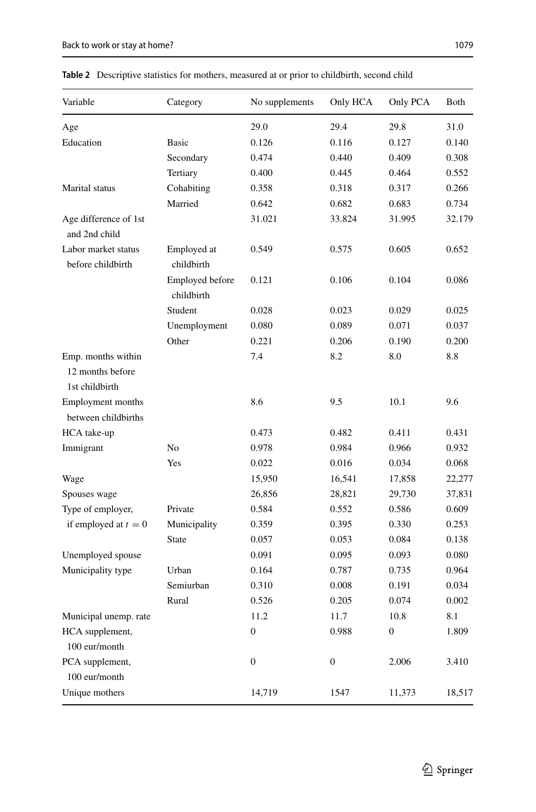| Variable                                                 | Category                      | No supplements   | Only HCA         | Only PCA     | Both   |
|----------------------------------------------------------|-------------------------------|------------------|------------------|--------------|--------|
| Age                                                      |                               | 29.0             | 29.4             | 29.8         | 31.0   |
| Education                                                | <b>Basic</b>                  | 0.126            | 0.116            | 0.127        | 0.140  |
|                                                          | Secondary                     | 0.474            | 0.440            | 0.409        | 0.308  |
|                                                          | Tertiary                      | 0.400            | 0.445            | 0.464        | 0.552  |
| Marital status                                           | Cohabiting                    | 0.358            | 0.318            | 0.317        | 0.266  |
|                                                          | Married                       | 0.642            | 0.682            | 0.683        | 0.734  |
| Age difference of 1st<br>and 2nd child                   |                               | 31.021           | 33.824           | 31.995       | 32.179 |
| Labor market status<br>before childbirth                 | Employed at<br>childbirth     | 0.549            | 0.575            | 0.605        | 0.652  |
|                                                          | Employed before<br>childbirth | 0.121            | 0.106            | 0.104        | 0.086  |
|                                                          | Student                       | 0.028            | 0.023            | 0.029        | 0.025  |
|                                                          | Unemployment                  | 0.080            | 0.089            | 0.071        | 0.037  |
|                                                          | Other                         | 0.221            | 0.206            | 0.190        | 0.200  |
| Emp. months within<br>12 months before<br>1st childbirth |                               | 7.4              | 8.2              | 8.0          | 8.8    |
| Employment months<br>between childbirths                 |                               | 8.6              | 9.5              | 10.1         | 9.6    |
| HCA take-up                                              |                               | 0.473            | 0.482            | 0.411        | 0.431  |
| Immigrant                                                | No                            | 0.978            | 0.984            | 0.966        | 0.932  |
|                                                          | Yes                           | 0.022            | 0.016            | 0.034        | 0.068  |
| Wage                                                     |                               | 15,950           | 16,541           | 17,858       | 22,277 |
| Spouses wage                                             |                               | 26,856           | 28,821           | 29,730       | 37,831 |
| Type of employer,                                        | Private                       | 0.584            | 0.552            | 0.586        | 0.609  |
| if employed at $t = 0$                                   | Municipality                  | 0.359            | 0.395            | 0.330        | 0.253  |
|                                                          | <b>State</b>                  | 0.057            | 0.053            | 0.084        | 0.138  |
| Unemployed spouse                                        |                               | 0.091            | 0.095            | 0.093        | 0.080  |
| Municipality type                                        | Urban                         | 0.164            | 0.787            | 0.735        | 0.964  |
|                                                          | Semiurban                     | 0.310            | 0.008            | 0.191        | 0.034  |
|                                                          | Rural                         | 0.526            | 0.205            | 0.074        | 0.002  |
| Municipal unemp. rate                                    |                               | 11.2             | 11.7             | 10.8         | 8.1    |
| HCA supplement,<br>100 eur/month                         |                               | $\boldsymbol{0}$ | 0.988            | $\mathbf{0}$ | 1.809  |
| PCA supplement,<br>100 eur/month                         |                               | $\boldsymbol{0}$ | $\boldsymbol{0}$ | 2.006        | 3.410  |
| Unique mothers                                           |                               | 14,719           | 1547             | 11,373       | 18,517 |

<span id="page-8-0"></span>**Table 2** Descriptive statistics for mothers, measured at or prior to childbirth, second child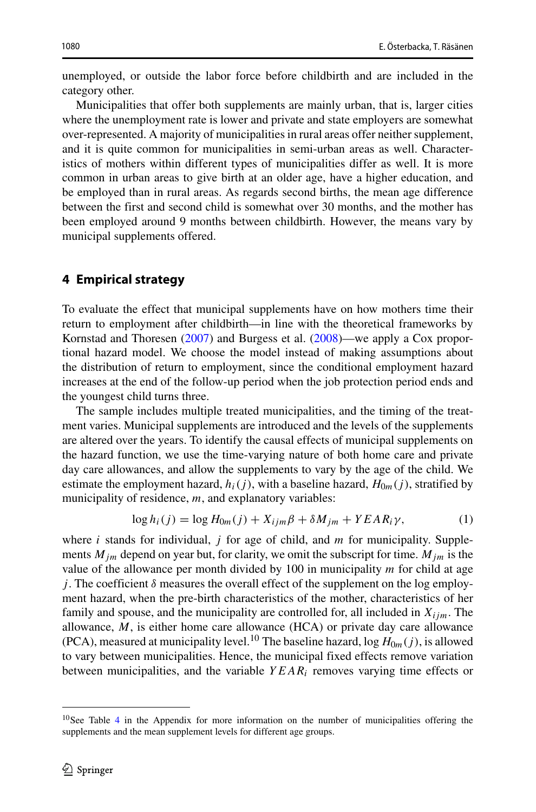unemployed, or outside the labor force before childbirth and are included in the category other.

Municipalities that offer both supplements are mainly urban, that is, larger cities where the unemployment rate is lower and private and state employers are somewhat over-represented. A majority of municipalities in rural areas offer neither supplement, and it is quite common for municipalities in semi-urban areas as well. Characteristics of mothers within different types of municipalities differ as well. It is more common in urban areas to give birth at an older age, have a higher education, and be employed than in rural areas. As regards second births, the mean age difference between the first and second child is somewhat over 30 months, and the mother has been employed around 9 months between childbirth. However, the means vary by municipal supplements offered.

## **4 Empirical strategy**

To evaluate the effect that municipal supplements have on how mothers time their return to employment after childbirth—in line with the theoretical frameworks by Kornstad and Thoresen [\(2007\)](#page-29-14) and Burgess et al. [\(2008\)](#page-28-1)—we apply a Cox proportional hazard model. We choose the model instead of making assumptions about the distribution of return to employment, since the conditional employment hazard increases at the end of the follow-up period when the job protection period ends and the youngest child turns three.

The sample includes multiple treated municipalities, and the timing of the treatment varies. Municipal supplements are introduced and the levels of the supplements are altered over the years. To identify the causal effects of municipal supplements on the hazard function, we use the time-varying nature of both home care and private day care allowances, and allow the supplements to vary by the age of the child. We estimate the employment hazard,  $h_i(j)$ , with a baseline hazard,  $H_{0m}(j)$ , stratified by municipality of residence, *m*, and explanatory variables:

<span id="page-9-1"></span>
$$
\log h_i(j) = \log H_{0m}(j) + X_{ijm}\beta + \delta M_{jm} + YEAR_i\gamma,
$$
 (1)

where *i* stands for individual, *j* for age of child, and *m* for municipality. Supplements  $M_{im}$  depend on year but, for clarity, we omit the subscript for time.  $M_{im}$  is the value of the allowance per month divided by 100 in municipality *m* for child at age *j*. The coefficient  $\delta$  measures the overall effect of the supplement on the log employment hazard, when the pre-birth characteristics of the mother, characteristics of her family and spouse, and the municipality are controlled for, all included in  $X_{ijm}$ . The allowance, *M*, is either home care allowance (HCA) or private day care allowance (PCA), measured at municipality level.<sup>10</sup> The baseline hazard, log  $H_{0m}(i)$ , is allowed to vary between municipalities. Hence, the municipal fixed effects remove variation between municipalities, and the variable *Y EARi* removes varying time effects or

<span id="page-9-0"></span><sup>&</sup>lt;sup>10</sup>See Table [4](#page-20-1) in the Appendix for more information on the number of municipalities offering the supplements and the mean supplement levels for different age groups.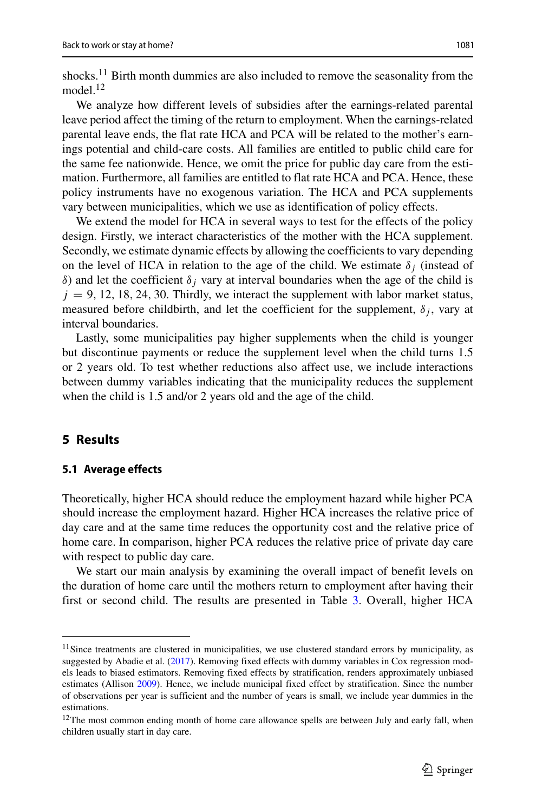shocks.<sup>[11](#page-10-0)</sup> Birth month dummies are also included to remove the seasonality from the model<sup>12</sup>

We analyze how different levels of subsidies after the earnings-related parental leave period affect the timing of the return to employment. When the earnings-related parental leave ends, the flat rate HCA and PCA will be related to the mother's earnings potential and child-care costs. All families are entitled to public child care for the same fee nationwide. Hence, we omit the price for public day care from the estimation. Furthermore, all families are entitled to flat rate HCA and PCA. Hence, these policy instruments have no exogenous variation. The HCA and PCA supplements vary between municipalities, which we use as identification of policy effects.

We extend the model for HCA in several ways to test for the effects of the policy design. Firstly, we interact characteristics of the mother with the HCA supplement. Secondly, we estimate dynamic effects by allowing the coefficients to vary depending on the level of HCA in relation to the age of the child. We estimate  $\delta_i$  (instead of *δ*) and let the coefficient  $δ<sub>j</sub>$  vary at interval boundaries when the age of the child is  $j = 9, 12, 18, 24, 30$ . Thirdly, we interact the supplement with labor market status, measured before childbirth, and let the coefficient for the supplement,  $\delta_i$ , vary at interval boundaries.

Lastly, some municipalities pay higher supplements when the child is younger but discontinue payments or reduce the supplement level when the child turns 1.5 or 2 years old. To test whether reductions also affect use, we include interactions between dummy variables indicating that the municipality reduces the supplement when the child is 1.5 and/or 2 years old and the age of the child.

# **5 Results**

#### **5.1 Average effects**

Theoretically, higher HCA should reduce the employment hazard while higher PCA should increase the employment hazard. Higher HCA increases the relative price of day care and at the same time reduces the opportunity cost and the relative price of home care. In comparison, higher PCA reduces the relative price of private day care with respect to public day care.

We start our main analysis by examining the overall impact of benefit levels on the duration of home care until the mothers return to employment after having their first or second child. The results are presented in Table [3.](#page-11-0) Overall, higher HCA

<span id="page-10-0"></span><sup>&</sup>lt;sup>11</sup> Since treatments are clustered in municipalities, we use clustered standard errors by municipality, as suggested by Abadie et al. [\(2017\)](#page-28-9). Removing fixed effects with dummy variables in Cox regression models leads to biased estimators. Removing fixed effects by stratification, renders approximately unbiased estimates (Allison [2009\)](#page-28-10). Hence, we include municipal fixed effect by stratification. Since the number of observations per year is sufficient and the number of years is small, we include year dummies in the estimations.

<span id="page-10-1"></span><sup>&</sup>lt;sup>12</sup>The most common ending month of home care allowance spells are between July and early fall, when children usually start in day care.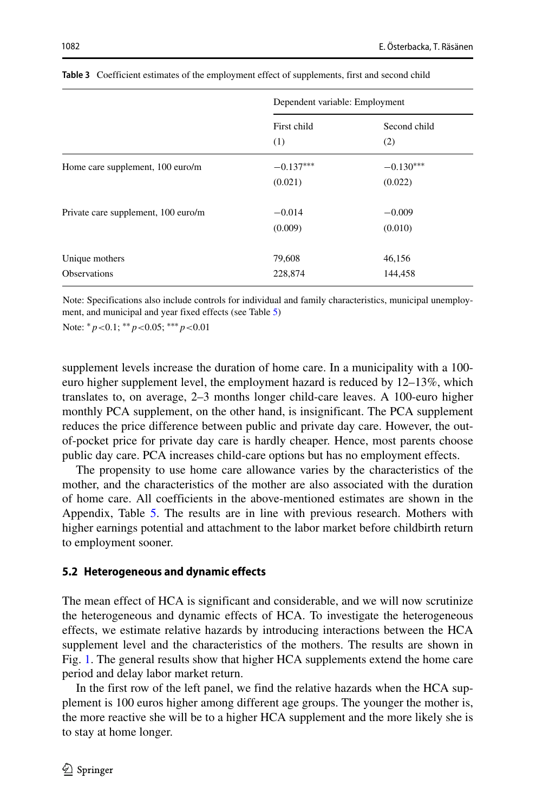|                                       | Dependent variable: Employment |                        |  |
|---------------------------------------|--------------------------------|------------------------|--|
|                                       | First child<br>(1)             | Second child<br>(2)    |  |
| Home care supplement, 100 euro/m      | $-0.137***$<br>(0.021)         | $-0.130***$<br>(0.022) |  |
| Private care supplement, 100 euro/m   | $-0.014$<br>(0.009)            | $-0.009$<br>(0.010)    |  |
| Unique mothers<br><b>Observations</b> | 79,608<br>228,874              | 46,156<br>144,458      |  |

<span id="page-11-0"></span>**Table 3** Coefficient estimates of the employment effect of supplements, first and second child

Note: Specifications also include controls for individual and family characteristics, municipal unemployment, and municipal and year fixed effects (see Table [5\)](#page-21-0)

Note: ∗*p<*0.1; ∗∗*p<*0.05; ∗∗∗*p<*0.01

supplement levels increase the duration of home care. In a municipality with a 100 euro higher supplement level, the employment hazard is reduced by 12–13%, which translates to, on average, 2–3 months longer child-care leaves. A 100-euro higher monthly PCA supplement, on the other hand, is insignificant. The PCA supplement reduces the price difference between public and private day care. However, the outof-pocket price for private day care is hardly cheaper. Hence, most parents choose public day care. PCA increases child-care options but has no employment effects.

The propensity to use home care allowance varies by the characteristics of the mother, and the characteristics of the mother are also associated with the duration of home care. All coefficients in the above-mentioned estimates are shown in the Appendix, Table [5.](#page-21-0) The results are in line with previous research. Mothers with higher earnings potential and attachment to the labor market before childbirth return to employment sooner.

#### **5.2 Heterogeneous and dynamic effects**

The mean effect of HCA is significant and considerable, and we will now scrutinize the heterogeneous and dynamic effects of HCA. To investigate the heterogeneous effects, we estimate relative hazards by introducing interactions between the HCA supplement level and the characteristics of the mothers. The results are shown in Fig. [1.](#page-12-0) The general results show that higher HCA supplements extend the home care period and delay labor market return.

In the first row of the left panel, we find the relative hazards when the HCA supplement is 100 euros higher among different age groups. The younger the mother is, the more reactive she will be to a higher HCA supplement and the more likely she is to stay at home longer.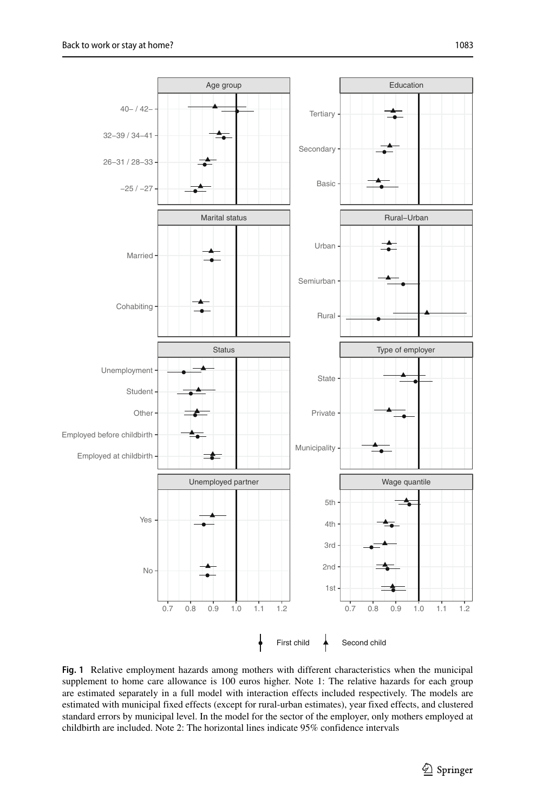<span id="page-12-0"></span>

**Fig. 1** Relative employment hazards among mothers with different characteristics when the municipal supplement to home care allowance is 100 euros higher. Note 1: The relative hazards for each group are estimated separately in a full model with interaction effects included respectively. The models are estimated with municipal fixed effects (except for rural-urban estimates), year fixed effects, and clustered standard errors by municipal level. In the model for the sector of the employer, only mothers employed at childbirth are included. Note 2: The horizontal lines indicate 95% confidence intervals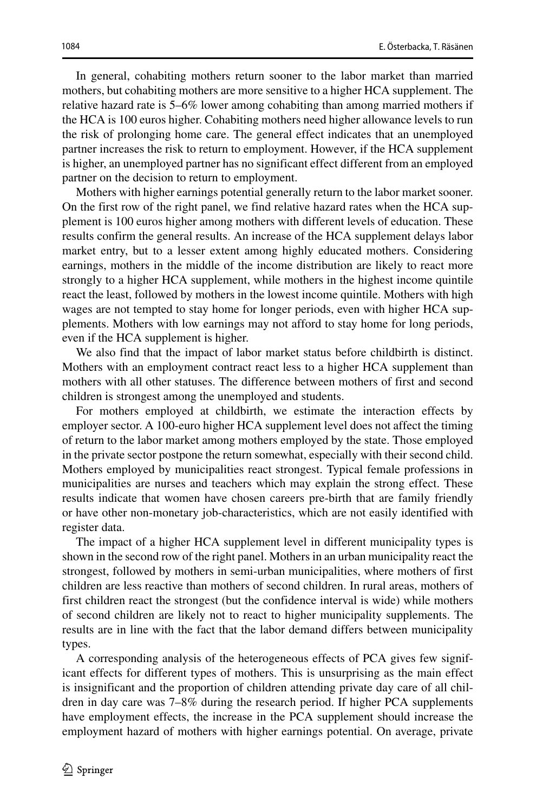In general, cohabiting mothers return sooner to the labor market than married mothers, but cohabiting mothers are more sensitive to a higher HCA supplement. The relative hazard rate is 5–6% lower among cohabiting than among married mothers if the HCA is 100 euros higher. Cohabiting mothers need higher allowance levels to run the risk of prolonging home care. The general effect indicates that an unemployed partner increases the risk to return to employment. However, if the HCA supplement is higher, an unemployed partner has no significant effect different from an employed partner on the decision to return to employment.

Mothers with higher earnings potential generally return to the labor market sooner. On the first row of the right panel, we find relative hazard rates when the HCA supplement is 100 euros higher among mothers with different levels of education. These results confirm the general results. An increase of the HCA supplement delays labor market entry, but to a lesser extent among highly educated mothers. Considering earnings, mothers in the middle of the income distribution are likely to react more strongly to a higher HCA supplement, while mothers in the highest income quintile react the least, followed by mothers in the lowest income quintile. Mothers with high wages are not tempted to stay home for longer periods, even with higher HCA supplements. Mothers with low earnings may not afford to stay home for long periods, even if the HCA supplement is higher.

We also find that the impact of labor market status before childbirth is distinct. Mothers with an employment contract react less to a higher HCA supplement than mothers with all other statuses. The difference between mothers of first and second children is strongest among the unemployed and students.

For mothers employed at childbirth, we estimate the interaction effects by employer sector. A 100-euro higher HCA supplement level does not affect the timing of return to the labor market among mothers employed by the state. Those employed in the private sector postpone the return somewhat, especially with their second child. Mothers employed by municipalities react strongest. Typical female professions in municipalities are nurses and teachers which may explain the strong effect. These results indicate that women have chosen careers pre-birth that are family friendly or have other non-monetary job-characteristics, which are not easily identified with register data.

The impact of a higher HCA supplement level in different municipality types is shown in the second row of the right panel. Mothers in an urban municipality react the strongest, followed by mothers in semi-urban municipalities, where mothers of first children are less reactive than mothers of second children. In rural areas, mothers of first children react the strongest (but the confidence interval is wide) while mothers of second children are likely not to react to higher municipality supplements. The results are in line with the fact that the labor demand differs between municipality types.

A corresponding analysis of the heterogeneous effects of PCA gives few significant effects for different types of mothers. This is unsurprising as the main effect is insignificant and the proportion of children attending private day care of all children in day care was 7–8% during the research period. If higher PCA supplements have employment effects, the increase in the PCA supplement should increase the employment hazard of mothers with higher earnings potential. On average, private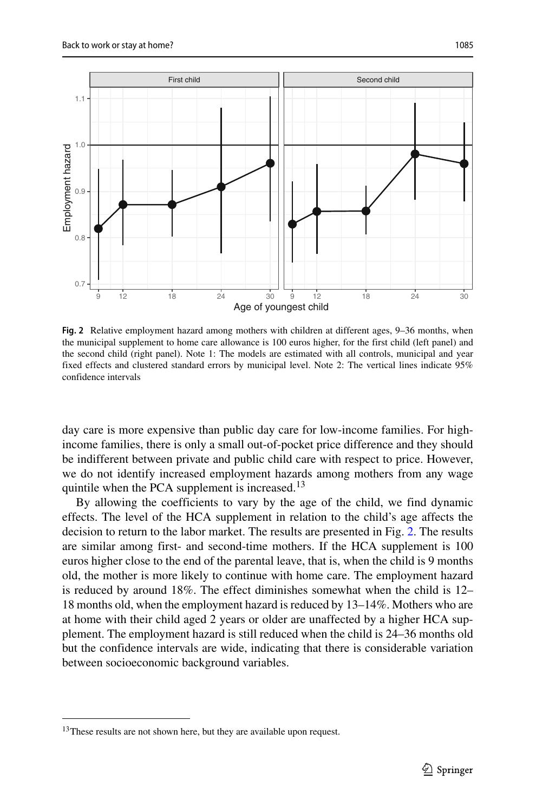<span id="page-14-1"></span>

**Fig. 2** Relative employment hazard among mothers with children at different ages, 9–36 months, when the municipal supplement to home care allowance is 100 euros higher, for the first child (left panel) and the second child (right panel). Note 1: The models are estimated with all controls, municipal and year fixed effects and clustered standard errors by municipal level. Note 2: The vertical lines indicate 95% confidence intervals

day care is more expensive than public day care for low-income families. For highincome families, there is only a small out-of-pocket price difference and they should be indifferent between private and public child care with respect to price. However, we do not identify increased employment hazards among mothers from any wage quintile when the PCA supplement is increased.<sup>[13](#page-14-0)</sup>

By allowing the coefficients to vary by the age of the child, we find dynamic effects. The level of the HCA supplement in relation to the child's age affects the decision to return to the labor market. The results are presented in Fig. [2.](#page-14-1) The results are similar among first- and second-time mothers. If the HCA supplement is 100 euros higher close to the end of the parental leave, that is, when the child is 9 months old, the mother is more likely to continue with home care. The employment hazard is reduced by around 18%. The effect diminishes somewhat when the child is 12– 18 months old, when the employment hazard is reduced by 13–14%. Mothers who are at home with their child aged 2 years or older are unaffected by a higher HCA supplement. The employment hazard is still reduced when the child is 24–36 months old but the confidence intervals are wide, indicating that there is considerable variation between socioeconomic background variables.

<span id="page-14-0"></span><sup>&</sup>lt;sup>13</sup>These results are not shown here, but they are available upon request.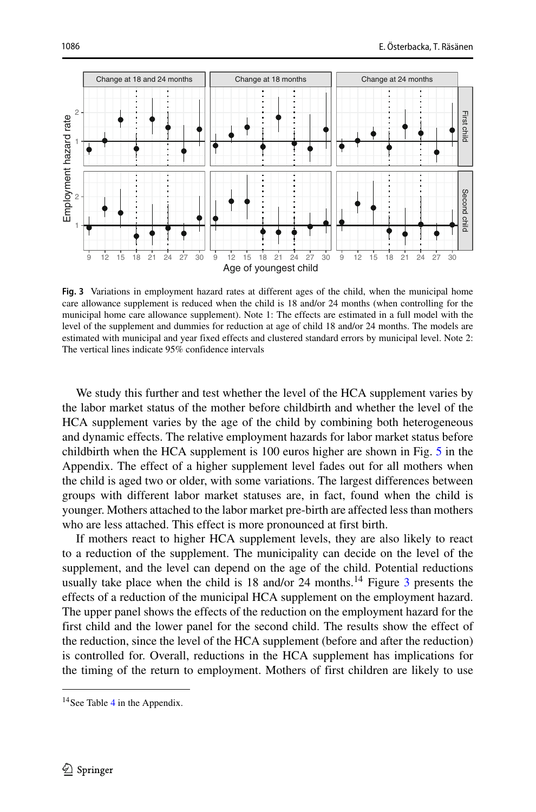<span id="page-15-1"></span>

**Fig. 3** Variations in employment hazard rates at different ages of the child, when the municipal home care allowance supplement is reduced when the child is 18 and/or 24 months (when controlling for the municipal home care allowance supplement). Note 1: The effects are estimated in a full model with the level of the supplement and dummies for reduction at age of child 18 and/or 24 months. The models are estimated with municipal and year fixed effects and clustered standard errors by municipal level. Note 2: The vertical lines indicate 95% confidence intervals

We study this further and test whether the level of the HCA supplement varies by the labor market status of the mother before childbirth and whether the level of the HCA supplement varies by the age of the child by combining both heterogeneous and dynamic effects. The relative employment hazards for labor market status before childbirth when the HCA supplement is 100 euros higher are shown in Fig. [5](#page-22-0) in the Appendix. The effect of a higher supplement level fades out for all mothers when the child is aged two or older, with some variations. The largest differences between groups with different labor market statuses are, in fact, found when the child is younger. Mothers attached to the labor market pre-birth are affected less than mothers who are less attached. This effect is more pronounced at first birth.

If mothers react to higher HCA supplement levels, they are also likely to react to a reduction of the supplement. The municipality can decide on the level of the supplement, and the level can depend on the age of the child. Potential reductions usually take place when the child is  $18$  and/or  $24$  months.<sup>[14](#page-15-0)</sup> Figure [3](#page-15-1) presents the effects of a reduction of the municipal HCA supplement on the employment hazard. The upper panel shows the effects of the reduction on the employment hazard for the first child and the lower panel for the second child. The results show the effect of the reduction, since the level of the HCA supplement (before and after the reduction) is controlled for. Overall, reductions in the HCA supplement has implications for the timing of the return to employment. Mothers of first children are likely to use

<span id="page-15-0"></span><sup>&</sup>lt;sup>1[4](#page-20-1)</sup> See Table 4 in the Appendix.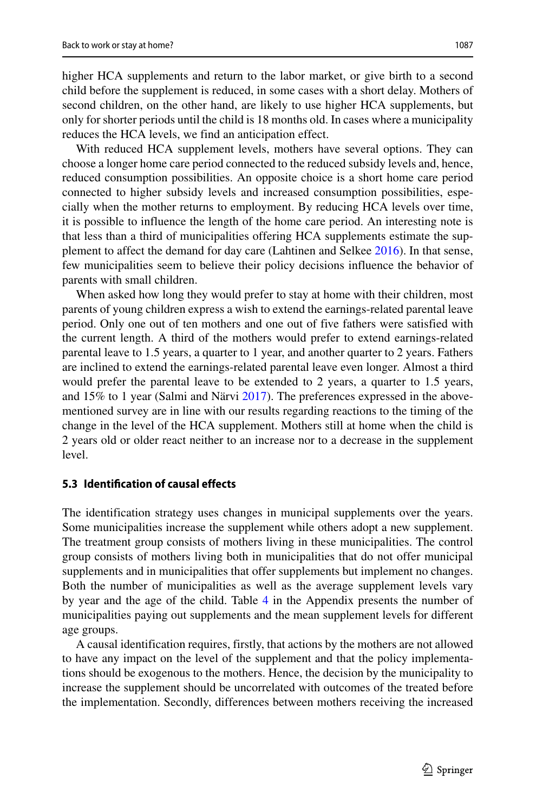higher HCA supplements and return to the labor market, or give birth to a second child before the supplement is reduced, in some cases with a short delay. Mothers of second children, on the other hand, are likely to use higher HCA supplements, but only for shorter periods until the child is 18 months old. In cases where a municipality reduces the HCA levels, we find an anticipation effect.

With reduced HCA supplement levels, mothers have several options. They can choose a longer home care period connected to the reduced subsidy levels and, hence, reduced consumption possibilities. An opposite choice is a short home care period connected to higher subsidy levels and increased consumption possibilities, especially when the mother returns to employment. By reducing HCA levels over time, it is possible to influence the length of the home care period. An interesting note is that less than a third of municipalities offering HCA supplements estimate the supplement to affect the demand for day care (Lahtinen and Selkee [2016\)](#page-29-23). In that sense, few municipalities seem to believe their policy decisions influence the behavior of parents with small children.

When asked how long they would prefer to stay at home with their children, most parents of young children express a wish to extend the earnings-related parental leave period. Only one out of ten mothers and one out of five fathers were satisfied with the current length. A third of the mothers would prefer to extend earnings-related parental leave to 1.5 years, a quarter to 1 year, and another quarter to 2 years. Fathers are inclined to extend the earnings-related parental leave even longer. Almost a third would prefer the parental leave to be extended to 2 years, a quarter to 1.5 years, and 15% to 1 year (Salmi and Närvi  $2017$ ). The preferences expressed in the abovementioned survey are in line with our results regarding reactions to the timing of the change in the level of the HCA supplement. Mothers still at home when the child is 2 years old or older react neither to an increase nor to a decrease in the supplement level.

### <span id="page-16-0"></span>**5.3 Identification of causal effects**

The identification strategy uses changes in municipal supplements over the years. Some municipalities increase the supplement while others adopt a new supplement. The treatment group consists of mothers living in these municipalities. The control group consists of mothers living both in municipalities that do not offer municipal supplements and in municipalities that offer supplements but implement no changes. Both the number of municipalities as well as the average supplement levels vary by year and the age of the child. Table [4](#page-20-1) in the Appendix presents the number of municipalities paying out supplements and the mean supplement levels for different age groups.

A causal identification requires, firstly, that actions by the mothers are not allowed to have any impact on the level of the supplement and that the policy implementations should be exogenous to the mothers. Hence, the decision by the municipality to increase the supplement should be uncorrelated with outcomes of the treated before the implementation. Secondly, differences between mothers receiving the increased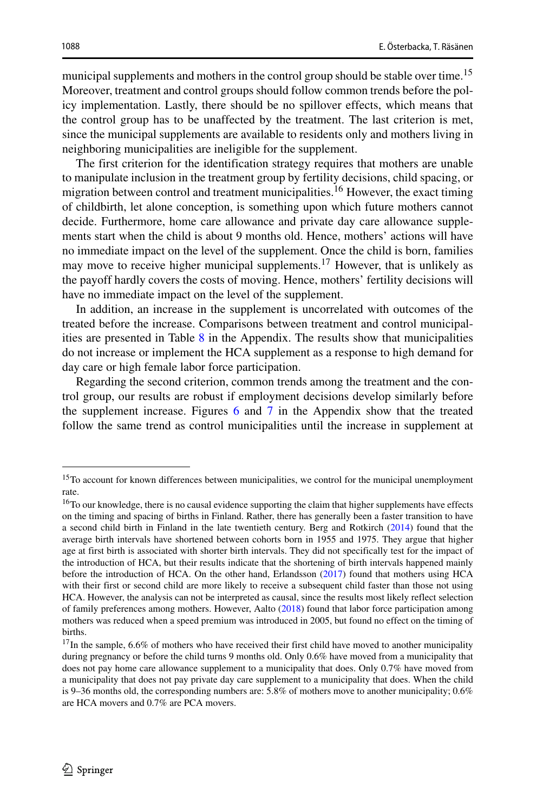municipal supplements and mothers in the control group should be stable over time.<sup>[15](#page-17-0)</sup> Moreover, treatment and control groups should follow common trends before the policy implementation. Lastly, there should be no spillover effects, which means that the control group has to be unaffected by the treatment. The last criterion is met, since the municipal supplements are available to residents only and mothers living in neighboring municipalities are ineligible for the supplement.

The first criterion for the identification strategy requires that mothers are unable to manipulate inclusion in the treatment group by fertility decisions, child spacing, or migration between control and treatment municipalities.<sup>[16](#page-17-1)</sup> However, the exact timing of childbirth, let alone conception, is something upon which future mothers cannot decide. Furthermore, home care allowance and private day care allowance supplements start when the child is about 9 months old. Hence, mothers' actions will have no immediate impact on the level of the supplement. Once the child is born, families may move to receive higher municipal supplements.<sup>[17](#page-17-2)</sup> However, that is unlikely as the payoff hardly covers the costs of moving. Hence, mothers' fertility decisions will have no immediate impact on the level of the supplement.

In addition, an increase in the supplement is uncorrelated with outcomes of the treated before the increase. Comparisons between treatment and control municipalities are presented in Table [8](#page-27-0) in the Appendix. The results show that municipalities do not increase or implement the HCA supplement as a response to high demand for day care or high female labor force participation.

Regarding the second criterion, common trends among the treatment and the control group, our results are robust if employment decisions develop similarly before the supplement increase. Figures [6](#page-23-1) and [7](#page-24-0) in the Appendix show that the treated follow the same trend as control municipalities until the increase in supplement at

<span id="page-17-0"></span><sup>&</sup>lt;sup>15</sup>To account for known differences between municipalities, we control for the municipal unemployment rate.

<span id="page-17-1"></span><sup>&</sup>lt;sup>16</sup>To our knowledge, there is no causal evidence supporting the claim that higher supplements have effects on the timing and spacing of births in Finland. Rather, there has generally been a faster transition to have a second child birth in Finland in the late twentieth century. Berg and Rotkirch [\(2014\)](#page-28-11) found that the average birth intervals have shortened between cohorts born in 1955 and 1975. They argue that higher age at first birth is associated with shorter birth intervals. They did not specifically test for the impact of the introduction of HCA, but their results indicate that the shortening of birth intervals happened mainly before the introduction of HCA. On the other hand, Erlandsson [\(2017\)](#page-28-12) found that mothers using HCA with their first or second child are more likely to receive a subsequent child faster than those not using HCA. However, the analysis can not be interpreted as causal, since the results most likely reflect selection of family preferences among mothers. However, Aalto [\(2018\)](#page-28-13) found that labor force participation among mothers was reduced when a speed premium was introduced in 2005, but found no effect on the timing of births.

<span id="page-17-2"></span><sup>&</sup>lt;sup>17</sup>In the sample, 6.6% of mothers who have received their first child have moved to another municipality during pregnancy or before the child turns 9 months old. Only 0.6% have moved from a municipality that does not pay home care allowance supplement to a municipality that does. Only 0.7% have moved from a municipality that does not pay private day care supplement to a municipality that does. When the child is 9–36 months old, the corresponding numbers are: 5.8% of mothers move to another municipality; 0.6% are HCA movers and 0.7% are PCA movers.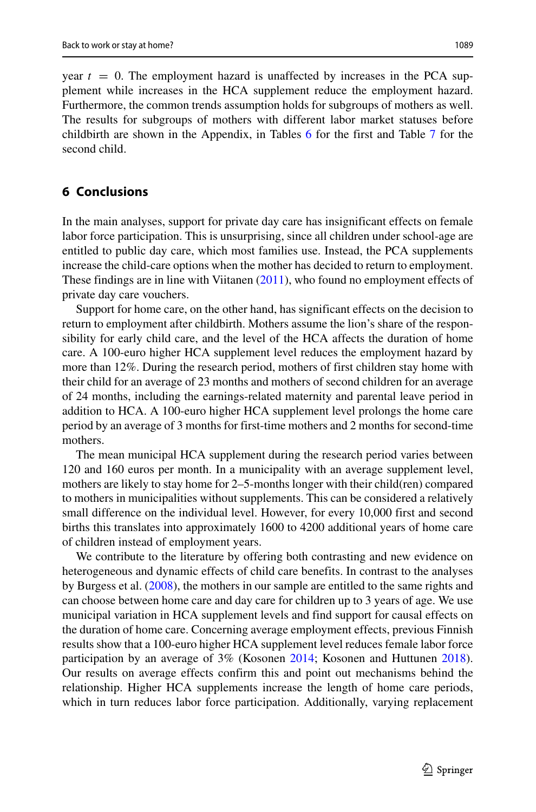year  $t = 0$ . The employment hazard is unaffected by increases in the PCA supplement while increases in the HCA supplement reduce the employment hazard. Furthermore, the common trends assumption holds for subgroups of mothers as well. The results for subgroups of mothers with different labor market statuses before childbirth are shown in the Appendix, in Tables [6](#page-25-0) for the first and Table [7](#page-26-0) for the second child.

# **6 Conclusions**

In the main analyses, support for private day care has insignificant effects on female labor force participation. This is unsurprising, since all children under school-age are entitled to public day care, which most families use. Instead, the PCA supplements increase the child-care options when the mother has decided to return to employment. These findings are in line with Viitanen [\(2011\)](#page-29-27), who found no employment effects of private day care vouchers.

Support for home care, on the other hand, has significant effects on the decision to return to employment after childbirth. Mothers assume the lion's share of the responsibility for early child care, and the level of the HCA affects the duration of home care. A 100-euro higher HCA supplement level reduces the employment hazard by more than 12%. During the research period, mothers of first children stay home with their child for an average of 23 months and mothers of second children for an average of 24 months, including the earnings-related maternity and parental leave period in addition to HCA. A 100-euro higher HCA supplement level prolongs the home care period by an average of 3 months for first-time mothers and 2 months for second-time mothers.

The mean municipal HCA supplement during the research period varies between 120 and 160 euros per month. In a municipality with an average supplement level, mothers are likely to stay home for 2–5-months longer with their child(ren) compared to mothers in municipalities without supplements. This can be considered a relatively small difference on the individual level. However, for every 10,000 first and second births this translates into approximately 1600 to 4200 additional years of home care of children instead of employment years.

We contribute to the literature by offering both contrasting and new evidence on heterogeneous and dynamic effects of child care benefits. In contrast to the analyses by Burgess et al. [\(2008\)](#page-28-1), the mothers in our sample are entitled to the same rights and can choose between home care and day care for children up to 3 years of age. We use municipal variation in HCA supplement levels and find support for causal effects on the duration of home care. Concerning average employment effects, previous Finnish results show that a 100-euro higher HCA supplement level reduces female labor force participation by an average of 3% (Kosonen [2014;](#page-29-10) Kosonen and Huttunen [2018\)](#page-29-11). Our results on average effects confirm this and point out mechanisms behind the relationship. Higher HCA supplements increase the length of home care periods, which in turn reduces labor force participation. Additionally, varying replacement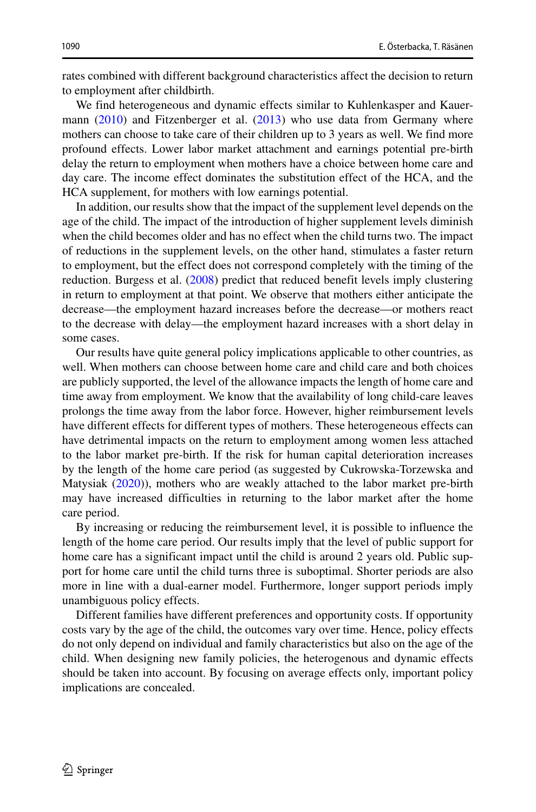rates combined with different background characteristics affect the decision to return to employment after childbirth.

We find heterogeneous and dynamic effects similar to Kuhlenkasper and Kauer-mann [\(2010\)](#page-29-12) and Fitzenberger et al. [\(2013\)](#page-28-3) who use data from Germany where mothers can choose to take care of their children up to 3 years as well. We find more profound effects. Lower labor market attachment and earnings potential pre-birth delay the return to employment when mothers have a choice between home care and day care. The income effect dominates the substitution effect of the HCA, and the HCA supplement, for mothers with low earnings potential.

In addition, our results show that the impact of the supplement level depends on the age of the child. The impact of the introduction of higher supplement levels diminish when the child becomes older and has no effect when the child turns two. The impact of reductions in the supplement levels, on the other hand, stimulates a faster return to employment, but the effect does not correspond completely with the timing of the reduction. Burgess et al. [\(2008\)](#page-28-1) predict that reduced benefit levels imply clustering in return to employment at that point. We observe that mothers either anticipate the decrease—the employment hazard increases before the decrease—or mothers react to the decrease with delay—the employment hazard increases with a short delay in some cases.

Our results have quite general policy implications applicable to other countries, as well. When mothers can choose between home care and child care and both choices are publicly supported, the level of the allowance impacts the length of home care and time away from employment. We know that the availability of long child-care leaves prolongs the time away from the labor force. However, higher reimbursement levels have different effects for different types of mothers. These heterogeneous effects can have detrimental impacts on the return to employment among women less attached to the labor market pre-birth. If the risk for human capital deterioration increases by the length of the home care period (as suggested by Cukrowska-Torzewska and Matysiak [\(2020\)](#page-28-5)), mothers who are weakly attached to the labor market pre-birth may have increased difficulties in returning to the labor market after the home care period.

By increasing or reducing the reimbursement level, it is possible to influence the length of the home care period. Our results imply that the level of public support for home care has a significant impact until the child is around 2 years old. Public support for home care until the child turns three is suboptimal. Shorter periods are also more in line with a dual-earner model. Furthermore, longer support periods imply unambiguous policy effects.

Different families have different preferences and opportunity costs. If opportunity costs vary by the age of the child, the outcomes vary over time. Hence, policy effects do not only depend on individual and family characteristics but also on the age of the child. When designing new family policies, the heterogenous and dynamic effects should be taken into account. By focusing on average effects only, important policy implications are concealed.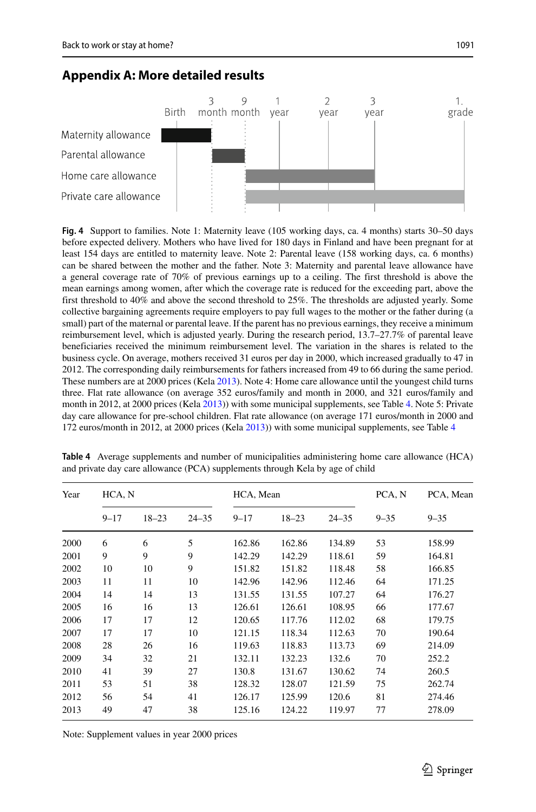# **Appendix A: More detailed results**



<span id="page-20-0"></span>**Fig. 4** Support to families. Note 1: Maternity leave (105 working days, ca. 4 months) starts 30–50 days before expected delivery. Mothers who have lived for 180 days in Finland and have been pregnant for at least 154 days are entitled to maternity leave. Note 2: Parental leave (158 working days, ca. 6 months) can be shared between the mother and the father. Note 3: Maternity and parental leave allowance have a general coverage rate of 70% of previous earnings up to a ceiling. The first threshold is above the mean earnings among women, after which the coverage rate is reduced for the exceeding part, above the first threshold to 40% and above the second threshold to 25%. The thresholds are adjusted yearly. Some collective bargaining agreements require employers to pay full wages to the mother or the father during (a small) part of the maternal or parental leave. If the parent has no previous earnings, they receive a minimum reimbursement level, which is adjusted yearly. During the research period, 13.7–27.7% of parental leave beneficiaries received the minimum reimbursement level. The variation in the shares is related to the business cycle. On average, mothers received 31 euros per day in 2000, which increased gradually to 47 in 2012. The corresponding daily reimbursements for fathers increased from 49 to 66 during the same period. These numbers are at 2000 prices (Kela [2013\)](#page-29-28). Note 4: Home care allowance until the youngest child turns three. Flat rate allowance (on average 352 euros/family and month in 2000, and 321 euros/family and month in 2012, at 2000 prices (Kela [2013\)](#page-29-28)) with some municipal supplements, see Table [4.](#page-20-1) Note 5: Private day care allowance for pre-school children. Flat rate allowance (on average 171 euros/month in 2000 and 172 euros/month in 2012, at 2000 prices (Kela [2013\)](#page-29-28)) with some municipal supplements, see Table [4](#page-20-1)

<span id="page-20-1"></span>

| HCA, N<br>Year |          |           |           | HCA, Mean |           |           | PCA, N<br>PCA, Mean |          |
|----------------|----------|-----------|-----------|-----------|-----------|-----------|---------------------|----------|
|                | $9 - 17$ | $18 - 23$ | $24 - 35$ | $9 - 17$  | $18 - 23$ | $24 - 35$ | $9 - 35$            | $9 - 35$ |
| 2000           | 6        | 6         | 5         | 162.86    | 162.86    | 134.89    | 53                  | 158.99   |
| 2001           | 9        | 9         | 9         | 142.29    | 142.29    | 118.61    | 59                  | 164.81   |
| 2002           | 10       | 10        | 9         | 151.82    | 151.82    | 118.48    | 58                  | 166.85   |
| 2003           | 11       | 11        | 10        | 142.96    | 142.96    | 112.46    | 64                  | 171.25   |
| 2004           | 14       | 14        | 13        | 131.55    | 131.55    | 107.27    | 64                  | 176.27   |
| 2005           | 16       | 16        | 13        | 126.61    | 126.61    | 108.95    | 66                  | 177.67   |
| 2006           | 17       | 17        | 12        | 120.65    | 117.76    | 112.02    | 68                  | 179.75   |
| 2007           | 17       | 17        | 10        | 121.15    | 118.34    | 112.63    | 70                  | 190.64   |
| 2008           | 28       | 26        | 16        | 119.63    | 118.83    | 113.73    | 69                  | 214.09   |
| 2009           | 34       | 32        | 21        | 132.11    | 132.23    | 132.6     | 70                  | 252.2    |
| 2010           | 41       | 39        | 27        | 130.8     | 131.67    | 130.62    | 74                  | 260.5    |
| 2011           | 53       | 51        | 38        | 128.32    | 128.07    | 121.59    | 75                  | 262.74   |
| 2012           | 56       | 54        | 41        | 126.17    | 125.99    | 120.6     | 81                  | 274.46   |
| 2013           | 49       | 47        | 38        | 125.16    | 124.22    | 119.97    | 77                  | 278.09   |

**Table 4** Average supplements and number of municipalities administering home care allowance (HCA) and private day care allowance (PCA) supplements through Kela by age of child

Note: Supplement values in year 2000 prices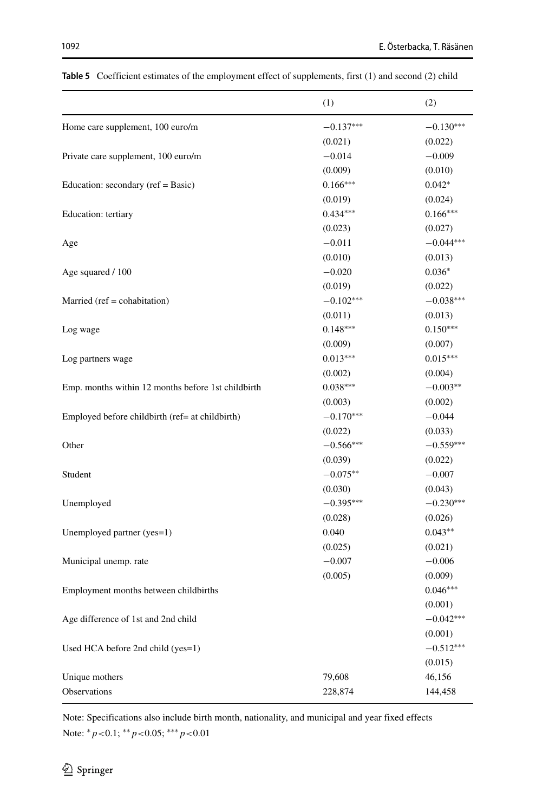|                                                    | (1)         | (2)         |
|----------------------------------------------------|-------------|-------------|
| Home care supplement, 100 euro/m                   | $-0.137***$ | $-0.130***$ |
|                                                    | (0.021)     | (0.022)     |
| Private care supplement, 100 euro/m                | $-0.014$    | $-0.009$    |
|                                                    | (0.009)     | (0.010)     |
| Education: secondary (ref = Basic)                 | $0.166***$  | $0.042*$    |
|                                                    | (0.019)     | (0.024)     |
| Education: tertiary                                | $0.434***$  | $0.166***$  |
|                                                    | (0.023)     | (0.027)     |
| Age                                                | $-0.011$    | $-0.044***$ |
|                                                    | (0.010)     | (0.013)     |
| Age squared / 100                                  | $-0.020$    | $0.036*$    |
|                                                    | (0.019)     | (0.022)     |
| Married ( $ref = cohabitation$ )                   | $-0.102***$ | $-0.038***$ |
|                                                    | (0.011)     | (0.013)     |
| Log wage                                           | $0.148***$  | $0.150***$  |
|                                                    | (0.009)     | (0.007)     |
| Log partners wage                                  | $0.013***$  | $0.015***$  |
|                                                    | (0.002)     | (0.004)     |
| Emp. months within 12 months before 1st childbirth | $0.038***$  | $-0.003**$  |
|                                                    | (0.003)     | (0.002)     |
| Employed before childbirth (ref= at childbirth)    | $-0.170***$ | $-0.044$    |
|                                                    | (0.022)     | (0.033)     |
| Other                                              | $-0.566***$ | $-0.559***$ |
|                                                    | (0.039)     | (0.022)     |
| Student                                            | $-0.075**$  | $-0.007$    |
|                                                    | (0.030)     | (0.043)     |
| Unemployed                                         | $-0.395***$ | $-0.230***$ |
|                                                    | (0.028)     | (0.026)     |
| Unemployed partner (yes=1)                         | 0.040       | $0.043**$   |
|                                                    | (0.025)     | (0.021)     |
| Municipal unemp. rate                              | $-0.007$    | $-0.006$    |
|                                                    | (0.005)     | (0.009)     |
| Employment months between childbirths              |             | $0.046***$  |
|                                                    |             | (0.001)     |
| Age difference of 1st and 2nd child                |             | $-0.042***$ |
|                                                    |             | (0.001)     |
| Used HCA before 2nd child (yes=1)                  |             | $-0.512***$ |
|                                                    |             | (0.015)     |
| Unique mothers                                     | 79,608      | 46,156      |
| Observations                                       | 228,874     | 144,458     |
|                                                    |             |             |

<span id="page-21-0"></span>**Table 5** Coefficient estimates of the employment effect of supplements, first (1) and second (2) child

Note: Specifications also include birth month, nationality, and municipal and year fixed effects Note: ∗*p<*0.1; ∗∗*p<*0.05; ∗∗∗*p<*0.01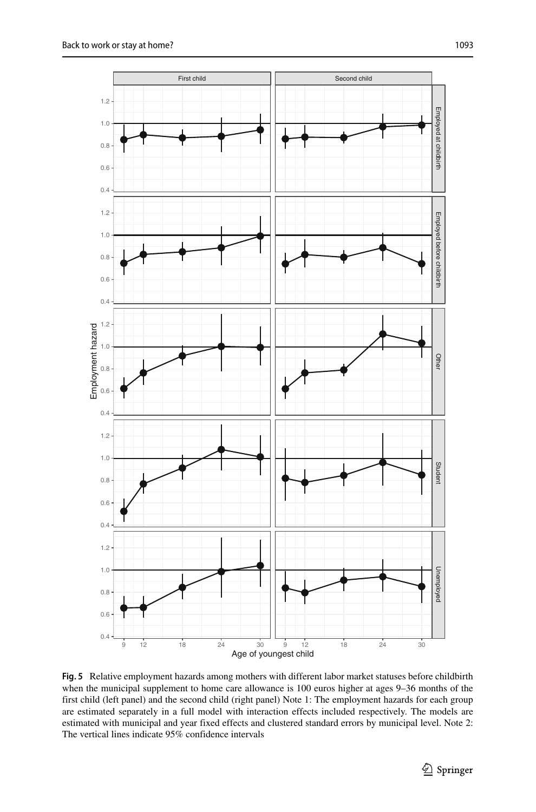<span id="page-22-0"></span>

**Fig. 5** Relative employment hazards among mothers with different labor market statuses before childbirth when the municipal supplement to home care allowance is 100 euros higher at ages 9–36 months of the first child (left panel) and the second child (right panel) Note 1: The employment hazards for each group are estimated separately in a full model with interaction effects included respectively. The models are estimated with municipal and year fixed effects and clustered standard errors by municipal level. Note 2: The vertical lines indicate 95% confidence intervals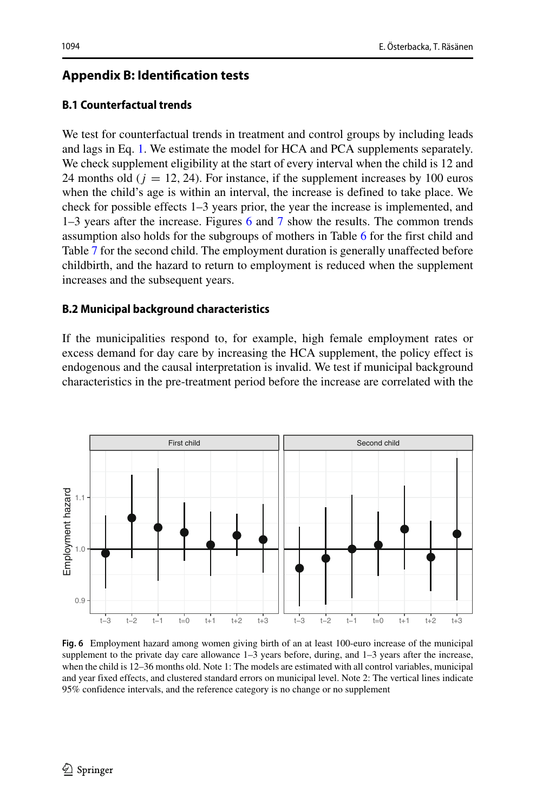# <span id="page-23-0"></span>**Appendix B: Identification tests**

# **B.1 Counterfactual trends**

We test for counterfactual trends in treatment and control groups by including leads and lags in Eq. [1.](#page-9-1) We estimate the model for HCA and PCA supplements separately. We check supplement eligibility at the start of every interval when the child is 12 and 24 months old  $(i = 12, 24)$ . For instance, if the supplement increases by 100 euros when the child's age is within an interval, the increase is defined to take place. We check for possible effects 1–3 years prior, the year the increase is implemented, and 1–3 years after the increase. Figures [6](#page-23-1) and [7](#page-24-0) show the results. The common trends assumption also holds for the subgroups of mothers in Table [6](#page-25-0) for the first child and Table [7](#page-26-0) for the second child. The employment duration is generally unaffected before childbirth, and the hazard to return to employment is reduced when the supplement increases and the subsequent years.

### **B.2 Municipal background characteristics**

If the municipalities respond to, for example, high female employment rates or excess demand for day care by increasing the HCA supplement, the policy effect is endogenous and the causal interpretation is invalid. We test if municipal background characteristics in the pre-treatment period before the increase are correlated with the

<span id="page-23-1"></span>

**Fig. 6** Employment hazard among women giving birth of an at least 100-euro increase of the municipal supplement to the private day care allowance  $1-3$  years before, during, and  $1-3$  years after the increase, when the child is 12–36 months old. Note 1: The models are estimated with all control variables, municipal and year fixed effects, and clustered standard errors on municipal level. Note 2: The vertical lines indicate 95% confidence intervals, and the reference category is no change or no supplement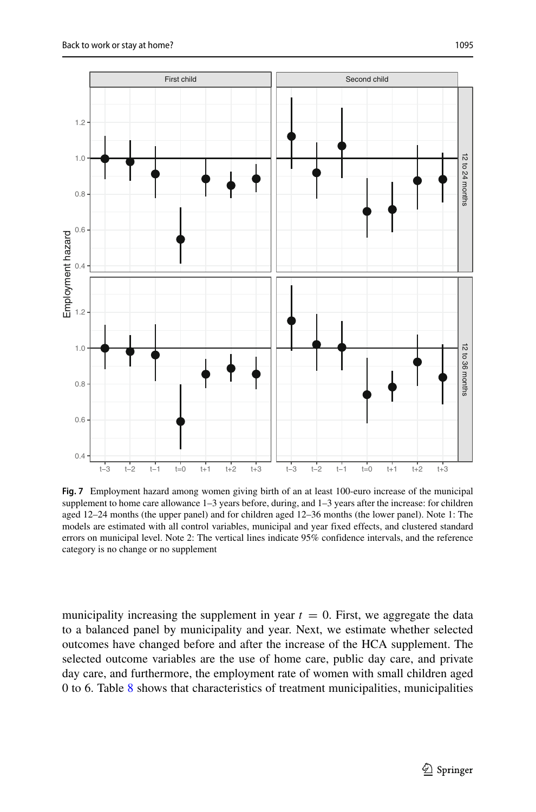<span id="page-24-0"></span>

**Fig. 7** Employment hazard among women giving birth of an at least 100-euro increase of the municipal supplement to home care allowance 1–3 years before, during, and 1–3 years after the increase: for children aged 12–24 months (the upper panel) and for children aged 12–36 months (the lower panel). Note 1: The models are estimated with all control variables, municipal and year fixed effects, and clustered standard errors on municipal level. Note 2: The vertical lines indicate 95% confidence intervals, and the reference category is no change or no supplement

municipality increasing the supplement in year  $t = 0$ . First, we aggregate the data to a balanced panel by municipality and year. Next, we estimate whether selected outcomes have changed before and after the increase of the HCA supplement. The selected outcome variables are the use of home care, public day care, and private day care, and furthermore, the employment rate of women with small children aged 0 to 6. Table [8](#page-27-0) shows that characteristics of treatment municipalities, municipalities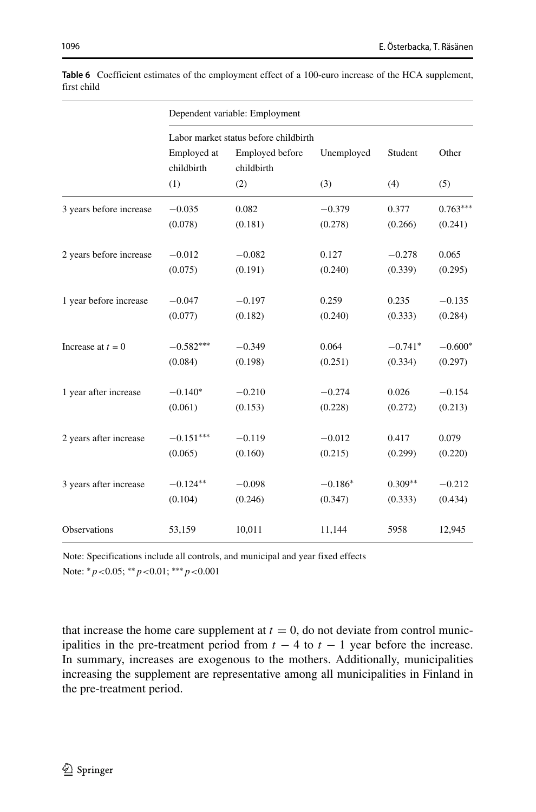| 1096 | E. Österbacka, T. Räsänen |
|------|---------------------------|
|      |                           |

|                         | Dependent variable: Employment |                                                                        |            |           |            |  |
|-------------------------|--------------------------------|------------------------------------------------------------------------|------------|-----------|------------|--|
|                         | Employed at<br>childbirth      | Labor market status before childbirth<br>Employed before<br>childbirth | Unemployed | Student   | Other      |  |
|                         | (1)                            | (2)                                                                    | (3)        | (4)       | (5)        |  |
| 3 years before increase | $-0.035$                       | 0.082                                                                  | $-0.379$   | 0.377     | $0.763***$ |  |
|                         | (0.078)                        | (0.181)                                                                | (0.278)    | (0.266)   | (0.241)    |  |
| 2 years before increase | $-0.012$                       | $-0.082$                                                               | 0.127      | $-0.278$  | 0.065      |  |
|                         | (0.075)                        | (0.191)                                                                | (0.240)    | (0.339)   | (0.295)    |  |
| 1 year before increase  | $-0.047$                       | $-0.197$                                                               | 0.259      | 0.235     | $-0.135$   |  |
|                         | (0.077)                        | (0.182)                                                                | (0.240)    | (0.333)   | (0.284)    |  |
| Increase at $t = 0$     | $-0.582***$                    | $-0.349$                                                               | 0.064      | $-0.741*$ | $-0.600*$  |  |
|                         | (0.084)                        | (0.198)                                                                | (0.251)    | (0.334)   | (0.297)    |  |
| 1 year after increase   | $-0.140*$                      | $-0.210$                                                               | $-0.274$   | 0.026     | $-0.154$   |  |
|                         | (0.061)                        | (0.153)                                                                | (0.228)    | (0.272)   | (0.213)    |  |
| 2 years after increase  | $-0.151***$                    | $-0.119$                                                               | $-0.012$   | 0.417     | 0.079      |  |
|                         | (0.065)                        | (0.160)                                                                | (0.215)    | (0.299)   | (0.220)    |  |
| 3 years after increase  | $-0.124**$                     | $-0.098$                                                               | $-0.186*$  | $0.309**$ | $-0.212$   |  |
|                         | (0.104)                        | (0.246)                                                                | (0.347)    | (0.333)   | (0.434)    |  |
| Observations            | 53,159                         | 10,011                                                                 | 11,144     | 5958      | 12,945     |  |

<span id="page-25-0"></span>**Table 6** Coefficient estimates of the employment effect of a 100-euro increase of the HCA supplement, first child

Note: Specifications include all controls, and municipal and year fixed effects Note: ∗*p<*0.05; ∗∗*p<*0.01; ∗∗∗*p<*0.001

that increase the home care supplement at  $t = 0$ , do not deviate from control municipalities in the pre-treatment period from  $t - 4$  to  $t - 1$  year before the increase. In summary, increases are exogenous to the mothers. Additionally, municipalities increasing the supplement are representative among all municipalities in Finland in the pre-treatment period.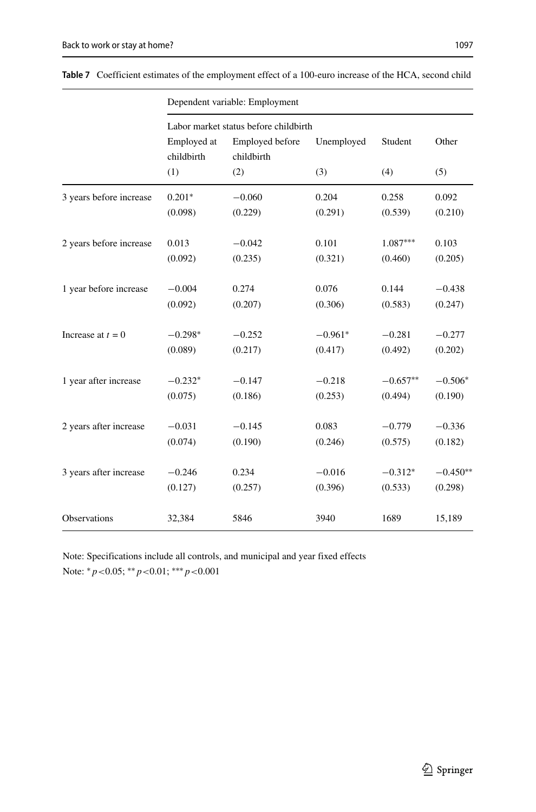|                         | Dependent variable: Employment |                                                                        |            |            |            |  |
|-------------------------|--------------------------------|------------------------------------------------------------------------|------------|------------|------------|--|
|                         | Employed at<br>childbirth      | Labor market status before childbirth<br>Employed before<br>childbirth | Unemployed |            | Other      |  |
|                         | (1)                            | (2)                                                                    | (3)        | (4)        | (5)        |  |
| 3 years before increase | $0.201*$                       | $-0.060$                                                               | 0.204      | 0.258      | 0.092      |  |
|                         | (0.098)                        | (0.229)                                                                | (0.291)    | (0.539)    | (0.210)    |  |
| 2 years before increase | 0.013                          | $-0.042$                                                               | 0.101      | $1.087***$ | 0.103      |  |
|                         | (0.092)                        | (0.235)                                                                | (0.321)    | (0.460)    | (0.205)    |  |
| 1 year before increase  | $-0.004$                       | 0.274                                                                  | 0.076      | 0.144      | $-0.438$   |  |
|                         | (0.092)                        | (0.207)                                                                | (0.306)    | (0.583)    | (0.247)    |  |
| Increase at $t = 0$     | $-0.298*$                      | $-0.252$                                                               | $-0.961*$  | $-0.281$   | $-0.277$   |  |
|                         | (0.089)                        | (0.217)                                                                | (0.417)    | (0.492)    | (0.202)    |  |
| 1 year after increase   | $-0.232*$                      | $-0.147$                                                               | $-0.218$   | $-0.657**$ | $-0.506*$  |  |
|                         | (0.075)                        | (0.186)                                                                | (0.253)    | (0.494)    | (0.190)    |  |
| 2 years after increase  | $-0.031$                       | $-0.145$                                                               | 0.083      | $-0.779$   | $-0.336$   |  |
|                         | (0.074)                        | (0.190)                                                                | (0.246)    | (0.575)    | (0.182)    |  |
| 3 years after increase  | $-0.246$                       | 0.234                                                                  | $-0.016$   | $-0.312*$  | $-0.450**$ |  |
|                         | (0.127)                        | (0.257)                                                                | (0.396)    | (0.533)    | (0.298)    |  |
| Observations            | 32,384                         | 5846                                                                   | 3940       | 1689       | 15,189     |  |

<span id="page-26-0"></span>**Table 7** Coefficient estimates of the employment effect of a 100-euro increase of the HCA, second child

Note: Specifications include all controls, and municipal and year fixed effects Note: ∗*p<*0.05; ∗∗*p<*0.01; ∗∗∗*p<*0.001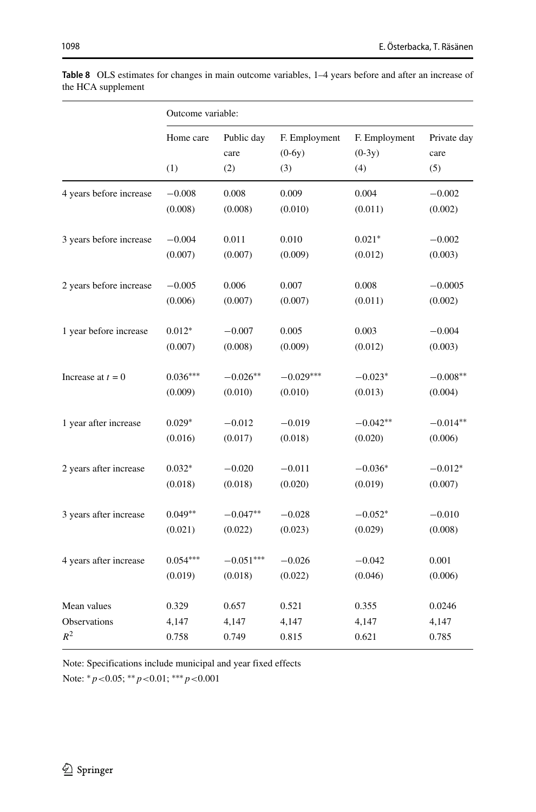|                         | Outcome variable: |                    |                           |                           |                     |
|-------------------------|-------------------|--------------------|---------------------------|---------------------------|---------------------|
|                         | Home care         | Public day<br>care | F. Employment<br>$(0-6y)$ | F. Employment<br>$(0-3y)$ | Private day<br>care |
|                         | (1)               | (2)                | (3)                       | (4)                       | (5)                 |
| 4 years before increase | $-0.008$          | 0.008              | 0.009                     | 0.004                     | $-0.002$            |
|                         | (0.008)           | (0.008)            | (0.010)                   | (0.011)                   | (0.002)             |
| 3 years before increase | $-0.004$          | 0.011              | 0.010                     | $0.021*$                  | $-0.002$            |
|                         | (0.007)           | (0.007)            | (0.009)                   | (0.012)                   | (0.003)             |
| 2 years before increase | $-0.005$          | 0.006              | 0.007                     | 0.008                     | $-0.0005$           |
|                         | (0.006)           | (0.007)            | (0.007)                   | (0.011)                   | (0.002)             |
| 1 year before increase  | $0.012*$          | $-0.007$           | 0.005                     | 0.003                     | $-0.004$            |
|                         | (0.007)           | (0.008)            | (0.009)                   | (0.012)                   | (0.003)             |
| Increase at $t = 0$     | $0.036***$        | $-0.026**$         | $-0.029***$               | $-0.023*$                 | $-0.008**$          |
|                         | (0.009)           | (0.010)            | (0.010)                   | (0.013)                   | (0.004)             |
| 1 year after increase   | $0.029*$          | $-0.012$           | $-0.019$                  | $-0.042**$                | $-0.014**$          |
|                         | (0.016)           | (0.017)            | (0.018)                   | (0.020)                   | (0.006)             |
| 2 years after increase  | $0.032*$          | $-0.020$           | $-0.011$                  | $-0.036*$                 | $-0.012*$           |
|                         | (0.018)           | (0.018)            | (0.020)                   | (0.019)                   | (0.007)             |
| 3 years after increase  | $0.049**$         | $-0.047**$         | $-0.028$                  | $-0.052*$                 | $-0.010$            |
|                         | (0.021)           | (0.022)            | (0.023)                   | (0.029)                   | (0.008)             |
| 4 years after increase  | $0.054***$        | $-0.051***$        | $-0.026$                  | $-0.042$                  | 0.001               |
|                         | (0.019)           | (0.018)            | (0.022)                   | (0.046)                   | (0.006)             |
| Mean values             | 0.329             | 0.657              | 0.521                     | 0.355                     | 0.0246              |
| Observations            | 4,147             | 4,147              | 4,147                     | 4,147                     | 4,147               |
| $R^2$                   | 0.758             | 0.749              | 0.815                     | 0.621                     | 0.785               |

<span id="page-27-0"></span>**Table 8** OLS estimates for changes in main outcome variables, 1–4 years before and after an increase of the HCA supplement

Note: Specifications include municipal and year fixed effects Note: ∗*p<*0.05; ∗∗*p<*0.01; ∗∗∗*p<*0.001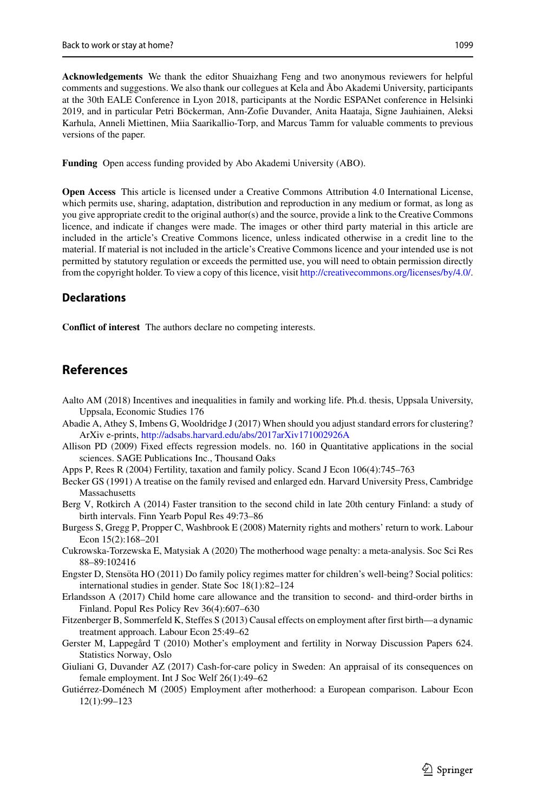**Acknowledgements** We thank the editor Shuaizhang Feng and two anonymous reviewers for helpful comments and suggestions. We also thank our collegues at Kela and Åbo Akademi University, participants at the 30th EALE Conference in Lyon 2018, participants at the Nordic ESPANet conference in Helsinki 2019, and in particular Petri Bockerman, Ann-Zofie Duvander, Anita Haataja, Signe Jauhiainen, Aleksi ¨ Karhula, Anneli Miettinen, Miia Saarikallio-Torp, and Marcus Tamm for valuable comments to previous versions of the paper.

**Funding** Open access funding provided by Abo Akademi University (ABO).

**Open Access** This article is licensed under a Creative Commons Attribution 4.0 International License, which permits use, sharing, adaptation, distribution and reproduction in any medium or format, as long as you give appropriate credit to the original author(s) and the source, provide a link to the Creative Commons licence, and indicate if changes were made. The images or other third party material in this article are included in the article's Creative Commons licence, unless indicated otherwise in a credit line to the material. If material is not included in the article's Creative Commons licence and your intended use is not permitted by statutory regulation or exceeds the permitted use, you will need to obtain permission directly from the copyright holder. To view a copy of this licence, visit [http://creativecommons.org/licenses/by/4.0/.](http://creativecommons.org/licenses/by/4.0/)

#### **Declarations**

**Conflict of interest** The authors declare no competing interests.

# **References**

- <span id="page-28-13"></span>Aalto AM (2018) Incentives and inequalities in family and working life. Ph.d. thesis, Uppsala University, Uppsala, Economic Studies 176
- <span id="page-28-9"></span>Abadie A, Athey S, Imbens G, Wooldridge J (2017) When should you adjust standard errors for clustering? ArXiv e-prints, <http://adsabs.harvard.edu/abs/2017arXiv171002926A>
- <span id="page-28-10"></span>Allison PD (2009) Fixed effects regression models. no. 160 in Quantitative applications in the social sciences. SAGE Publications Inc., Thousand Oaks
- <span id="page-28-0"></span>Apps P, Rees R (2004) Fertility, taxation and family policy. Scand J Econ 106(4):745–763
- <span id="page-28-4"></span>Becker GS (1991) A treatise on the family revised and enlarged edn. Harvard University Press, Cambridge Massachusetts
- <span id="page-28-11"></span>Berg V, Rotkirch A (2014) Faster transition to the second child in late 20th century Finland: a study of birth intervals. Finn Yearb Popul Res 49:73–86
- <span id="page-28-1"></span>Burgess S, Gregg P, Propper C, Washbrook E (2008) Maternity rights and mothers' return to work. Labour Econ 15(2):168–201
- <span id="page-28-5"></span>Cukrowska-Torzewska E, Matysiak A (2020) The motherhood wage penalty: a meta-analysis. Soc Sci Res 88–89:102416
- <span id="page-28-2"></span>Engster D, Stensöta HO (2011) Do family policy regimes matter for children's well-being? Social politics: international studies in gender. State Soc 18(1):82–124
- <span id="page-28-12"></span>Erlandsson A (2017) Child home care allowance and the transition to second- and third-order births in Finland. Popul Res Policy Rev 36(4):607–630
- <span id="page-28-3"></span>Fitzenberger B, Sommerfeld K, Steffes S (2013) Causal effects on employment after first birth—a dynamic treatment approach. Labour Econ 25:49–62
- <span id="page-28-8"></span>Gerster M, Lappegård T (2010) Mother's employment and fertility in Norway Discussion Papers 624. Statistics Norway, Oslo
- <span id="page-28-6"></span>Giuliani G, Duvander AZ (2017) Cash-for-care policy in Sweden: An appraisal of its consequences on female employment. Int J Soc Welf 26(1):49–62
- <span id="page-28-7"></span>Gutiérrez-Doménech M (2005) Employment after motherhood: a European comparison. Labour Econ 12(1):99–123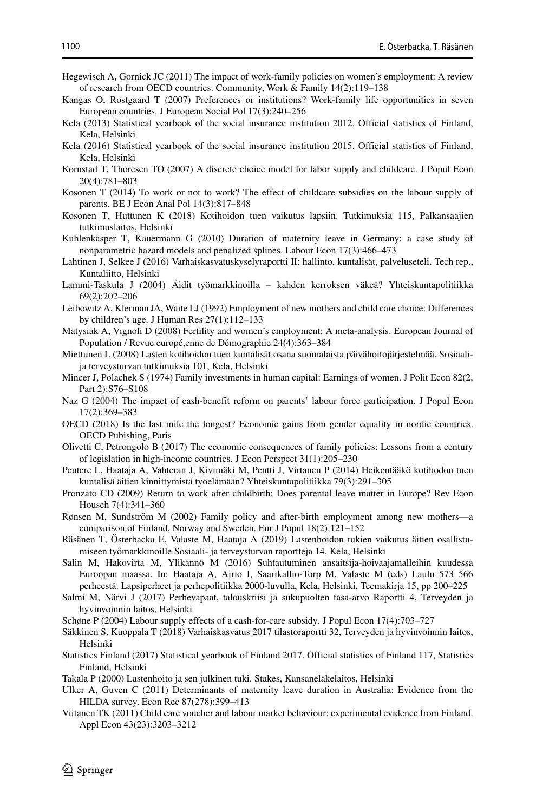- <span id="page-29-7"></span>Hegewisch A, Gornick JC (2011) The impact of work-family policies on women's employment: A review of research from OECD countries. Community, Work & Family 14(2):119–138
- <span id="page-29-1"></span>Kangas O, Rostgaard T (2007) Preferences or institutions? Work-family life opportunities in seven European countries. J European Social Pol 17(3):240–256
- <span id="page-29-28"></span>Kela (2013) Statistical yearbook of the social insurance institution 2012. Official statistics of Finland, Kela, Helsinki
- <span id="page-29-19"></span>Kela (2016) Statistical yearbook of the social insurance institution 2015. Official statistics of Finland, Kela, Helsinki
- <span id="page-29-14"></span>Kornstad T, Thoresen TO (2007) A discrete choice model for labor supply and childcare. J Popul Econ 20(4):781–803
- <span id="page-29-10"></span>Kosonen T (2014) To work or not to work? The effect of childcare subsidies on the labour supply of parents. BE J Econ Anal Pol 14(3):817–848
- <span id="page-29-11"></span>Kosonen T, Huttunen K (2018) Kotihoidon tuen vaikutus lapsiin. Tutkimuksia 115, Palkansaajien tutkimuslaitos, Helsinki
- <span id="page-29-12"></span>Kuhlenkasper T, Kauermann G (2010) Duration of maternity leave in Germany: a case study of nonparametric hazard models and penalized splines. Labour Econ 17(3):466–473
- <span id="page-29-23"></span>Lahtinen J, Selkee J (2016) Varhaiskasvatuskyselyraportti II: hallinto, kuntalisät, palveluseteli. Tech rep., Kuntaliitto, Helsinki
- <span id="page-29-8"></span>Lammi-Taskula J (2004) Äidit työmarkkinoilla – kahden kerroksen väkeä? Yhteiskuntapolitiikka 69(2):202–206
- <span id="page-29-0"></span>Leibowitz A, Klerman JA, Waite LJ (1992) Employment of new mothers and child care choice: Differences by children's age. J Human Res 27(1):112–133
- <span id="page-29-18"></span>Matysiak A, Vignoli D (2008) Fertility and women's employment: A meta-analysis. European Journal of Population / Revue europé, enne de Démographie 24(4): 363-384
- <span id="page-29-22"></span>Miettunen L (2008) Lasten kotihoidon tuen kuntalisät osana suomalaista päivähoitojärjestelmää. Sosiaalija terveysturvan tutkimuksia 101, Kela, Helsinki
- <span id="page-29-13"></span>Mincer J, Polachek S (1974) Family investments in human capital: Earnings of women. J Polit Econ 82(2, Part 2):S76–S108
- <span id="page-29-15"></span>Naz G (2004) The impact of cash-benefit reform on parents' labour force participation. J Popul Econ 17(2):369–383
- <span id="page-29-5"></span>OECD (2018) Is the last mile the longest? Economic gains from gender equality in nordic countries. OECD Pubishing, Paris
- <span id="page-29-4"></span>Olivetti C, Petrongolo B (2017) The economic consequences of family policies: Lessons from a century of legislation in high-income countries. J Econ Perspect 31(1):205–230
- <span id="page-29-9"></span>Peutere L, Haataja A, Vahteran J, Kivimäki M, Pentti J, Virtanen P (2014) Heikentääkö kotihodon tuen kuntalisä äitien kinnittymistä työelämään? Yhteiskuntapolitiikka 79(3):291–305
- <span id="page-29-2"></span>Pronzato CD (2009) Return to work after childbirth: Does parental leave matter in Europe? Rev Econ Househ 7(4):341–360
- <span id="page-29-16"></span>Rønsen M, Sundström M (2002) Family policy and after-birth employment among new mothers—a comparison of Finland, Norway and Sweden. Eur J Popul 18(2):121–152
- <span id="page-29-25"></span>Räsänen T, Österbacka E, Valaste M, Haataja A (2019) Lastenhoidon tukien vaikutus äitien osallistumiseen tyomarkkinoille Sosiaali- ja terveysturvan raportteja 14, Kela, Helsinki ¨
- <span id="page-29-6"></span>Salin M, Hakovirta M, Ylikännö M (2016) Suhtautuminen ansaitsija-hoivaajamalleihin kuudessa Euroopan maassa. In: Haataja A, Airio I, Saarikallio-Torp M, Valaste M (eds) Laulu 573 566 perheesta. Lapsiperheet ja perhepolitiikka 2000-luvulla, Kela, Helsinki, Teemakirja 15, pp 200–225 ¨
- <span id="page-29-20"></span>Salmi M, Närvi J (2017) Perhevapaat, talouskriisi ja sukupuolten tasa-arvo Raportti 4, Terveyden ja hyvinvoinnin laitos, Helsinki
- <span id="page-29-17"></span>Schøne P (2004) Labour supply effects of a cash-for-care subsidy. J Popul Econ 17(4):703–727
- <span id="page-29-24"></span>Säkkinen S, Kuoppala T (2018) Varhaiskasvatus 2017 tilastoraportti 32, Terveyden ja hyvinvoinnin laitos, Helsinki
- <span id="page-29-26"></span>Statistics Finland (2017) Statistical yearbook of Finland 2017. Official statistics of Finland 117, Statistics Finland, Helsinki
- <span id="page-29-21"></span>Takala P (2000) Lastenhoito ja sen julkinen tuki. Stakes, Kansaneläkelaitos, Helsinki
- <span id="page-29-3"></span>Ulker A, Guven C (2011) Determinants of maternity leave duration in Australia: Evidence from the HILDA survey. Econ Rec 87(278):399–413
- <span id="page-29-27"></span>Viitanen TK (2011) Child care voucher and labour market behaviour: experimental evidence from Finland. Appl Econ 43(23):3203–3212